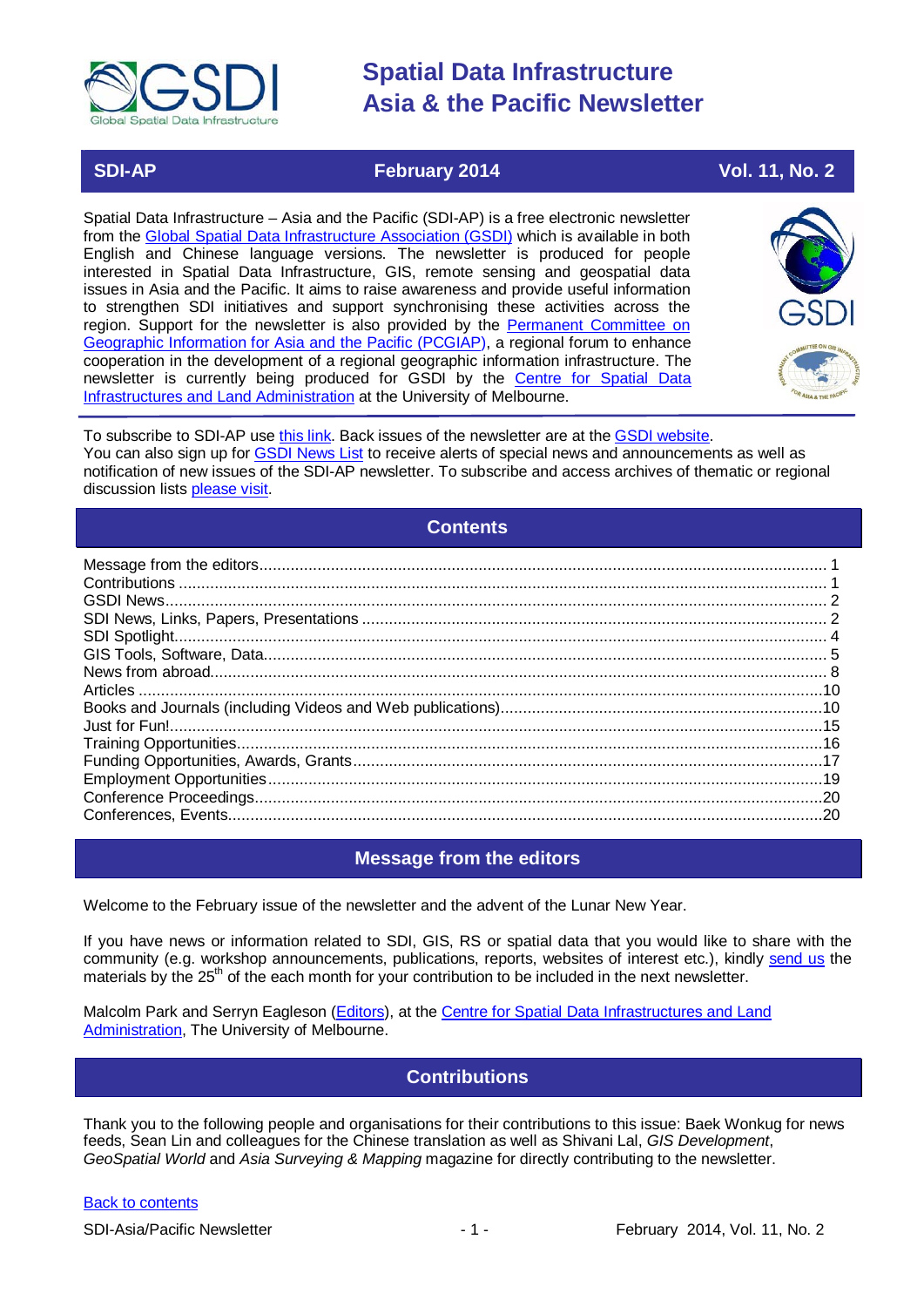

### **SDI-AP February** 2014 **February** 2014

Spatial Data Infrastructure – Asia and the Pacific (SDI-AP) is a free electronic newsletter from the [Global Spatial Data Infrastructure Association \(GSDI\)](http://www.gsdi.org/) which is available in both English and Chinese language versions. The newsletter is produced for people interested in Spatial Data Infrastructure, GIS, remote sensing and geospatial data issues in Asia and the Pacific. It aims to raise awareness and provide useful information to strengthen SDI initiatives and support synchronising these activities across the region. Support for the newsletter is also provided by the Permanent Committee on [Geographic Information for Asia and the Pacific \(PCGIAP\)](http://www.pcgiap.org/), a regional forum to enhance cooperation in the development of a regional geographic information infrastructure. The newsletter is currently being produced for GSDI by the [Centre for Spatial Data](http://www.csdila.unimelb.edu.au/)  [Infrastructures and Land Administration](http://www.csdila.unimelb.edu.au/) at the University of Melbourne.



To subscribe to SDI-AP use [this link.](http://www.gsdi.org/newslist/gsdisubscribe.asp) Back issues of the newsletter are at the [GSDI website.](http://www.gsdi.org/newsletters.asp) You can also sign up for [GSDI News List](http://www.gsdi.org/newslist/gsdisubscribe.asp) to receive alerts of special news and announcements as well as notification of new issues of the SDI-AP newsletter. To subscribe and access archives of thematic or regional discussion lists [please visit.](http://www.gsdi.org/discussionlists.asp)

### **Contents**

<span id="page-0-0"></span>

### **Message from the editors**

<span id="page-0-1"></span>Welcome to the February issue of the newsletter and the advent of the Lunar New Year.

If you have news or information related to SDI, GIS, RS or spatial data that you would like to share with the community (e.g. workshop announcements, publications, reports, websites of interest etc.), kindly [send us](mailto:.SDI-AP@gsdi.org) the materials by the 25<sup>th</sup> of the each month for your contribution to be included in the next newsletter.

<span id="page-0-2"></span>Malcolm Park and Serryn Eagleson [\(Editors\)](mailto:Editor.SDIAP@gmail.com), at the [Centre for Spatial Data Infrastructures and Land](http://www.csdila.unimelb.edu.au/)  [Administration,](http://www.csdila.unimelb.edu.au/) The University of Melbourne.

### **Contributions**

Thank you to the following people and organisations for their contributions to this issue: Baek Wonkug for news feeds, Sean Lin and colleagues for the Chinese translation as well as Shivani Lal, *GIS Development*, *GeoSpatial World* and *Asia Surveying & Mapping* magazine for directly contributing to the newsletter.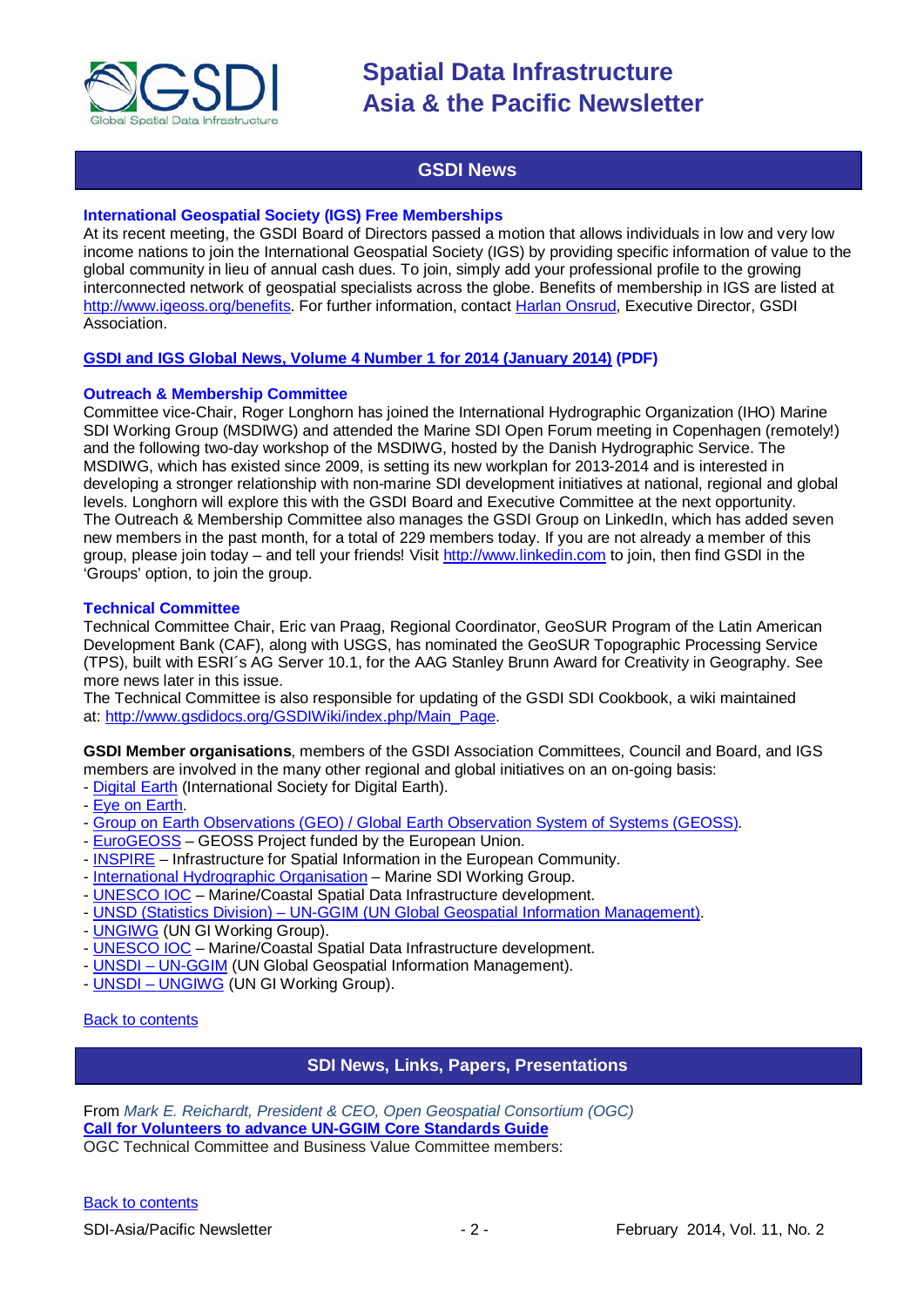

### **GSDI News**

#### <span id="page-1-0"></span>**International Geospatial Society (IGS) Free Memberships**

At its recent meeting, the GSDI Board of Directors passed a motion that allows individuals in low and very low income nations to join the International Geospatial Society (IGS) by providing specific information of value to the global community in lieu of annual cash dues. To join, simply add your professional profile to the growing interconnected network of geospatial specialists across the globe. Benefits of membership in IGS are listed at [http://www.igeoss.org/benefits.](https://owa.unimelb.edu.au/owa/redir.aspx?C=54c2b4d3973d480282dc7c38384f4204&URL=http%3a%2f%2fwww.igeoss.org%2fbenefits) For further information, contact [Harlan Onsrud,](mailto:onsrud@gsdi.org) Executive Director, GSDI Association.

#### **[GSDI and IGS Global News, Volume 4 Number 1 for 2014 \(January 2014\)](http://www.gsdi.org/newsletters#GSDI) (PDF)**

#### **Outreach & Membership Committee**

Committee vice-Chair, Roger Longhorn has joined the International Hydrographic Organization (IHO) Marine SDI Working Group (MSDIWG) and attended the Marine SDI Open Forum meeting in Copenhagen (remotely!) and the following two-day workshop of the MSDIWG, hosted by the Danish Hydrographic Service. The MSDIWG, which has existed since 2009, is setting its new workplan for 2013-2014 and is interested in developing a stronger relationship with non-marine SDI development initiatives at national, regional and global levels. Longhorn will explore this with the GSDI Board and Executive Committee at the next opportunity. The Outreach & Membership Committee also manages the GSDI Group on LinkedIn, which has added seven new members in the past month, for a total of 229 members today. If you are not already a member of this group, please join today – and tell your friends! Visit [http://www.linkedin.com](https://owa.unimelb.edu.au/owa/redir.aspx?C=rDg2dzQe3UKfwin28aspI4dcf2EJ4c8IKc_jDEPg91nlCdVQBzUX28or6ioXGu07OXWheK19Jyk.&URL=http%3a%2f%2fwww.linkedin.com) to join, then find GSDI in the 'Groups' option, to join the group.

#### **Technical Committee**

Technical Committee Chair, Eric van Praag, Regional Coordinator, GeoSUR Program of the Latin American Development Bank (CAF), along with USGS, has nominated the GeoSUR Topographic Processing Service (TPS), built with ESRI´s AG Server 10.1, for the AAG Stanley Brunn Award for Creativity in Geography. See more news later in this issue.

The Technical Committee is also responsible for updating of the GSDI SDI Cookbook, a wiki maintained at: [http://www.gsdidocs.org/GSDIWiki/index.php/Main\\_Page.](https://owa.unimelb.edu.au/owa/redir.aspx?C=rDg2dzQe3UKfwin28aspI4dcf2EJ4c8IKc_jDEPg91nlCdVQBzUX28or6ioXGu07OXWheK19Jyk.&URL=http%3a%2f%2fwww.gsdidocs.org%2fGSDIWiki%2findex.php%2fMain_Page)

**GSDI Member organisations**, members of the GSDI Association Committees, Council and Board, and IGS members are involved in the many other regional and global initiatives on an on-going basis:

- [Digital Earth](http://www.digitalearth-isde.org/) (International Society for Digital Earth).
- [Eye on Earth.](http://www.eyeonearth.org/)
- [Group on Earth Observations \(GEO\) / Global Earth Observation System of Systems \(GEOSS\).](http://www.earthobservations.org/)
- [EuroGEOSS](http://www.eurogeoss.eu/default.aspx) GEOSS Project funded by the European Union.
- [INSPIRE](http://www.inspire.jrc.ec.europa.eu/) Infrastructure for Spatial Information in the European Community.
- [International Hydrographic Organisation](http://www.iho.int/) Marine SDI Working Group.
- [UNESCO IOC](http://www.iode.org/) Marine/Coastal Spatial Data Infrastructure development.
- UNSD (Statistics Division) [UN-GGIM \(UN Global Geospatial Information Management\).](http://www.ggim.un.org/)
- [UNGIWG](http://www.ungiwg.org/) (UN GI Working Group).
- [UNESCO IOC](http://www.iode.org/) Marine/Coastal Spatial Data Infrastructure development.
- UNSDI [UN-GGIM](http://www.ggim.un.org/) (UN Global Geospatial Information Management).
- UNSDI [UNGIWG](http://www.ungiwg.org/) (UN GI Working Group).

#### <span id="page-1-1"></span>[Back to contents](#page-0-0)

### **SDI News, Links, Papers, Presentations**

From *Mark E. Reichardt, President & CEO, Open Geospatial Consortium (OGC)* **[Call for Volunteers to advance UN-GGIM Core Standards Guide](mailto:UNStdsGuide@lists.opengeospatial.org)** OGC Technical Committee and Business Value Committee members: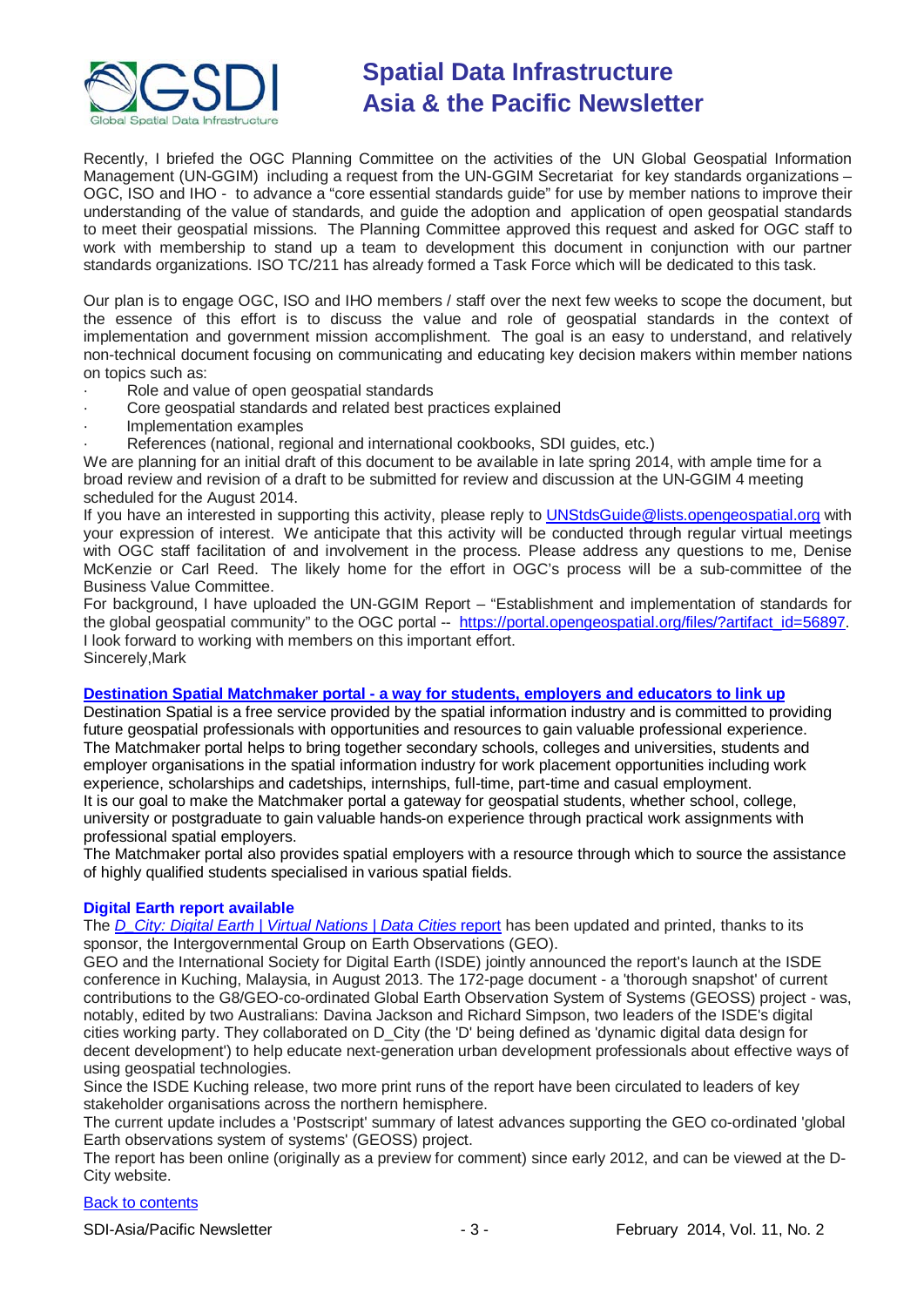

Recently, I briefed the OGC Planning Committee on the activities of the UN Global Geospatial Information Management (UN-GGIM) including a request from the UN-GGIM Secretariat for key standards organizations – OGC, ISO and IHO - to advance a "core essential standards guide" for use by member nations to improve their understanding of the value of standards, and guide the adoption and application of open geospatial standards to meet their geospatial missions. The Planning Committee approved this request and asked for OGC staff to work with membership to stand up a team to development this document in conjunction with our partner standards organizations. ISO TC/211 has already formed a Task Force which will be dedicated to this task.

Our plan is to engage OGC, ISO and IHO members / staff over the next few weeks to scope the document, but the essence of this effort is to discuss the value and role of geospatial standards in the context of implementation and government mission accomplishment. The goal is an easy to understand, and relatively non-technical document focusing on communicating and educating key decision makers within member nations on topics such as:

- Role and value of open geospatial standards
- Core geospatial standards and related best practices explained
- · Implementation examples
- References (national, regional and international cookbooks, SDI guides, etc.)

We are planning for an initial draft of this document to be available in late spring 2014, with ample time for a broad review and revision of a draft to be submitted for review and discussion at the UN-GGIM 4 meeting scheduled for the August 2014.

If you have an interested in supporting this activity, please reply to [UNStdsGuide@lists.opengeospatial.org](mailto:UNStdsGuide@lists.opengeospatial.org) with your expression of interest. We anticipate that this activity will be conducted through regular virtual meetings with OGC staff facilitation of and involvement in the process. Please address any questions to me, Denise McKenzie or Carl Reed. The likely home for the effort in OGC's process will be a sub-committee of the Business Value Committee.

For background, I have uploaded the UN-GGIM Report – "Establishment and implementation of standards for the global geospatial community" to the OGC portal -- [https://portal.opengeospatial.org/files/?artifact\\_id=56897.](https://portal.opengeospatial.org/files/?artifact_id=56897) I look forward to working with members on this important effort. Sincerely,Mark

#### **Destination Spatial Matchmaker portal - [a way for students, employers and educators to link up](http://www.destinationspatial-matchmaker.org/index.htm)**

Destination Spatial is a free service provided by the spatial information industry and is committed to providing future geospatial professionals with opportunities and resources to gain valuable professional experience. The Matchmaker portal helps to bring together secondary schools, colleges and universities, students and employer organisations in the spatial information industry for work placement opportunities including work experience, scholarships and cadetships, internships, full-time, part-time and casual employment. It is our goal to make the Matchmaker portal a gateway for geospatial students, whether school, college, university or postgraduate to gain valuable hands-on experience through practical work assignments with professional spatial employers.

The Matchmaker portal also provides spatial employers with a resource through which to source the assistance of highly qualified students specialised in various spatial fields.

#### **Digital Earth report available**

The *[D\\_City: Digital Earth | Virtual Nations | Data Cities](http://dcitynetwork.net/manifesto)* report has been updated and printed, thanks to its sponsor, the Intergovernmental Group on Earth Observations (GEO).

GEO and the International Society for Digital Earth (ISDE) jointly announced the report's launch at the ISDE conference in Kuching, Malaysia, in August 2013. The 172-page document - a 'thorough snapshot' of current contributions to the G8/GEO-co-ordinated Global Earth Observation System of Systems (GEOSS) project - was, notably, edited by two Australians: Davina Jackson and Richard Simpson, two leaders of the ISDE's digital cities working party. They collaborated on D\_City (the 'D' being defined as 'dynamic digital data design for decent development') to help educate next-generation urban development professionals about effective ways of using geospatial technologies.

Since the ISDE Kuching release, two more print runs of the report have been circulated to leaders of key stakeholder organisations across the northern hemisphere.

The current update includes a 'Postscript' summary of latest advances supporting the GEO co-ordinated 'global Earth observations system of systems' (GEOSS) project.

The report has been online (originally as a preview for comment) since early 2012, and can be viewed at the D-City website.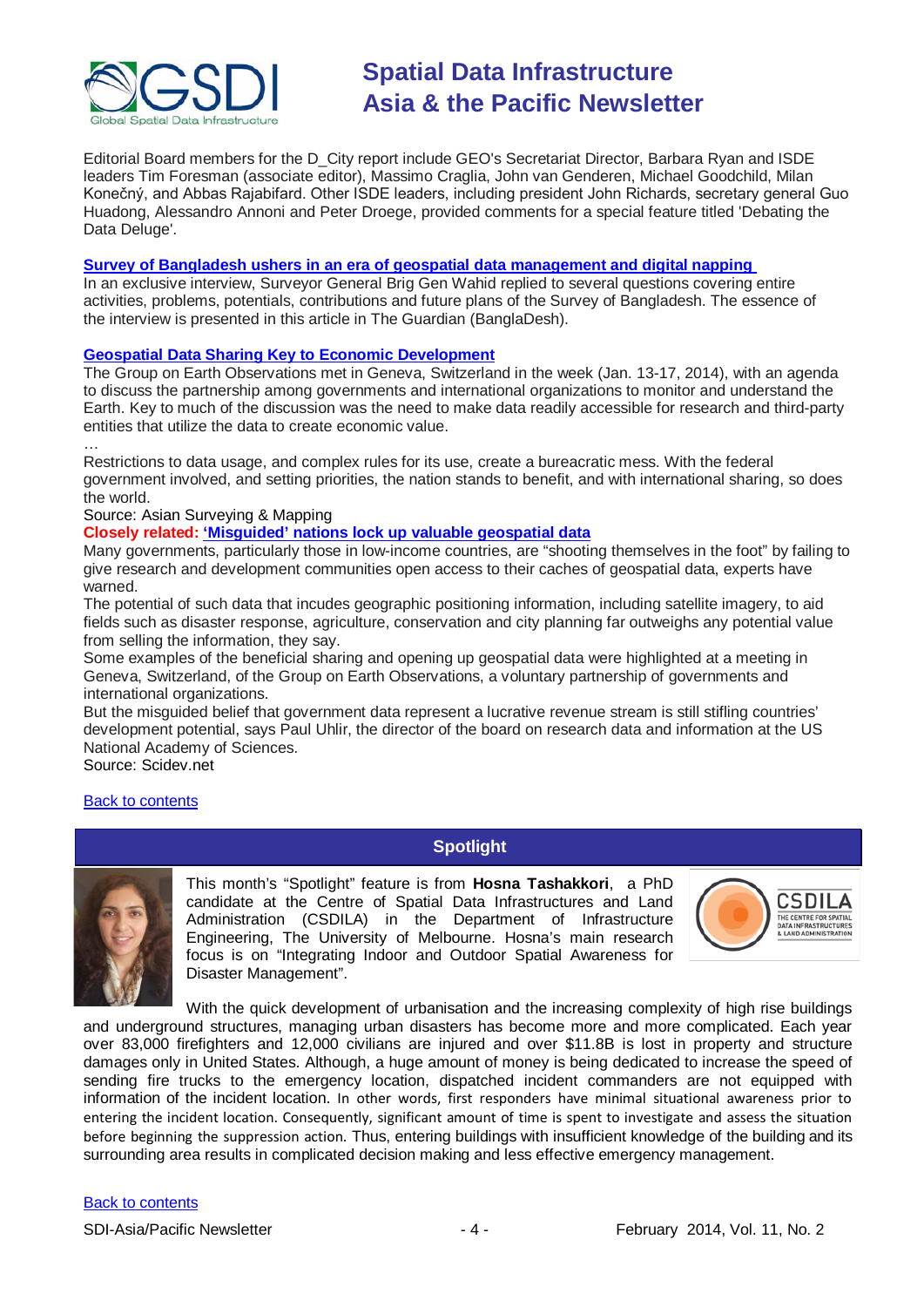

Editorial Board members for the D\_City report include GEO's Secretariat Director, Barbara Ryan and ISDE leaders Tim Foresman (associate editor), Massimo Craglia, John van Genderen, Michael Goodchild, Milan Konečný, and Abbas Rajabifard. Other ISDE leaders, including president John Richards, secretary general Guo Huadong, Alessandro Annoni and Peter Droege, provided comments for a special feature titled 'Debating the Data Deluge'.

#### **[Survey of Bangladesh ushers in an era of geospatial data management and digital](http://www.theguardianbd.com/survey-of-bangladesh-ushers-in-an-era-of-geospatial-data-management-and-digital-mapping-in-bangladesh-2/) napping**

In an exclusive interview, Surveyor General Brig Gen Wahid replied to several questions covering entire activities, problems, potentials, contributions and future plans of the Survey of Bangladesh. The essence of the interview is presented in this article in The Guardian (BanglaDesh).

#### **[Geospatial Data Sharing Key to Economic Development](http://www.asmmag.com/2012-12-30-14-40-18/feature/6214-geospatial-data-sharing-key-to-economic-development.html)**

The Group on Earth Observations met in Geneva, Switzerland in the week (Jan. 13-17, 2014), with an agenda to discuss the partnership among governments and international organizations to monitor and understand the Earth. Key to much of the discussion was the need to make data readily accessible for research and third-party entities that utilize the data to create economic value.

… Restrictions to data usage, and complex rules for its use, create a bureacratic mess. With the federal government involved, and setting priorities, the nation stands to benefit, and with international sharing, so does the world.

#### Source: Asian Surveying & Mapping

**Closely related: ['Misguided' nations lock up valuable geospatial data](http://www.scidev.net/global/data/news/misguided-nations-lock-up-valuable-geospatial-data.html)**

Many governments, particularly those in low-income countries, are "shooting themselves in the foot" by failing to give research and development communities open access to their caches of geospatial data, experts have warned.

The potential of such data that incudes geographic positioning information, including satellite imagery, to aid fields such as disaster response, agriculture, conservation and city planning far outweighs any potential value from selling the information, they say.

Some examples of the beneficial sharing and opening up geospatial data were highlighted at a meeting in Geneva, Switzerland, of the Group on Earth Observations, a voluntary partnership of governments and international organizations.

But the misguided belief that government data represent a lucrative revenue stream is still stifling countries' development potential, says Paul Uhlir, the director of the board on research data and information at the US National Academy of Sciences.

Source: Scidev.net

#### [Back to contents](#page-0-0)

### **Spotlight**

<span id="page-3-0"></span>

This month's "Spotlight" feature is from **Hosna Tashakkori**, a PhD candidate at the Centre of Spatial Data Infrastructures and Land Administration (CSDILA) in the Department of Infrastructure Engineering, The University of Melbourne. Hosna's main research focus is on "Integrating Indoor and Outdoor Spatial Awareness for Disaster Management".



With the quick development of urbanisation and the increasing complexity of high rise buildings and underground structures, managing urban disasters has become more and more complicated. Each year over 83,000 firefighters and 12,000 civilians are injured and over \$11.8B is lost in property and structure damages only in United States. Although, a huge amount of money is being dedicated to increase the speed of sending fire trucks to the emergency location, dispatched incident commanders are not equipped with information of the incident location. In other words, first responders have minimal situational awareness prior to entering the incident location. Consequently, significant amount of time is spent to investigate and assess the situation before beginning the suppression action. Thus, entering buildings with insufficient knowledge of the building and its surrounding area results in complicated decision making and less effective emergency management.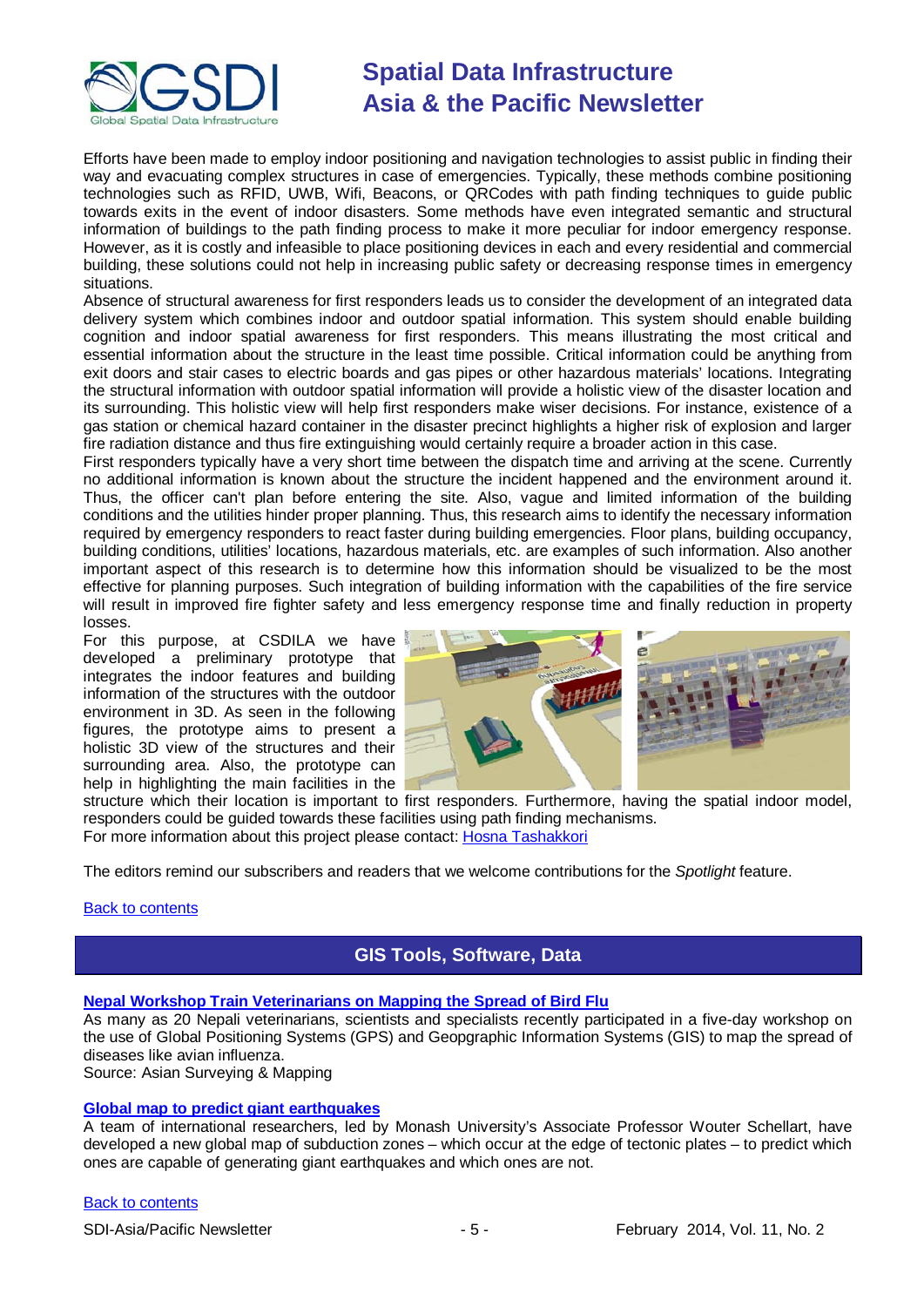

Efforts have been made to employ indoor positioning and navigation technologies to assist public in finding their way and evacuating complex structures in case of emergencies. Typically, these methods combine positioning technologies such as RFID, UWB, Wifi, Beacons, or QRCodes with path finding techniques to guide public towards exits in the event of indoor disasters. Some methods have even integrated semantic and structural information of buildings to the path finding process to make it more peculiar for indoor emergency response. However, as it is costly and infeasible to place positioning devices in each and every residential and commercial building, these solutions could not help in increasing public safety or decreasing response times in emergency situations.

Absence of structural awareness for first responders leads us to consider the development of an integrated data delivery system which combines indoor and outdoor spatial information. This system should enable building cognition and indoor spatial awareness for first responders. This means illustrating the most critical and essential information about the structure in the least time possible. Critical information could be anything from exit doors and stair cases to electric boards and gas pipes or other hazardous materials' locations. Integrating the structural information with outdoor spatial information will provide a holistic view of the disaster location and its surrounding. This holistic view will help first responders make wiser decisions. For instance, existence of a gas station or chemical hazard container in the disaster precinct highlights a higher risk of explosion and larger fire radiation distance and thus fire extinguishing would certainly require a broader action in this case.

First responders typically have a very short time between the dispatch time and arriving at the scene. Currently no additional information is known about the structure the incident happened and the environment around it. Thus, the officer can't plan before entering the site. Also, vague and limited information of the building conditions and the utilities hinder proper planning. Thus, this research aims to identify the necessary information required by emergency responders to react faster during building emergencies. Floor plans, building occupancy, building conditions, utilities' locations, hazardous materials, etc. are examples of such information. Also another important aspect of this research is to determine how this information should be visualized to be the most effective for planning purposes. Such integration of building information with the capabilities of the fire service will result in improved fire fighter safety and less emergency response time and finally reduction in property losses.

For this purpose, at CSDILA we have developed a preliminary prototype that integrates the indoor features and building information of the structures with the outdoor environment in 3D. As seen in the following figures, the prototype aims to present a holistic 3D view of the structures and their surrounding area. Also, the prototype can help in highlighting the main facilities in the



structure which their location is important to first responders. Furthermore, having the spatial indoor model, responders could be guided towards these facilities using path finding mechanisms. For more information about this project please contact: [Hosna Tashakkori](mailto:stashakkori@student.unimelb.edu.au)

The editors remind our subscribers and readers that we welcome contributions for the *Spotlight* feature.

#### <span id="page-4-0"></span>**[Back to contents](#page-0-0)**

### **GIS Tools, Software, Data**

### **[Nepal Workshop Train Veterinarians on Mapping](http://www.asmmag.com/2012-12-30-14-17-42/headlines/6245-nepal-workshop-train-veterinarians-on-mapping-the-spread-of-bird-flu.html) the Spread of Bird Flu**

As many as 20 Nepali veterinarians, scientists and specialists recently participated in a five-day workshop on the use of Global Positioning Systems (GPS) and Geopgraphic Information Systems (GIS) to map the spread of diseases like avian influenza.

Source: Asian Surveying & Mapping

#### **[Global map to predict giant earthquakes](http://monash.edu/news/show/global-map-to-predict-giant-earthquakes)**

A team of international researchers, led by Monash University's Associate Professor Wouter Schellart, have developed a new global map of subduction zones – which occur at the edge of tectonic plates – to predict which ones are capable of generating giant earthquakes and which ones are not.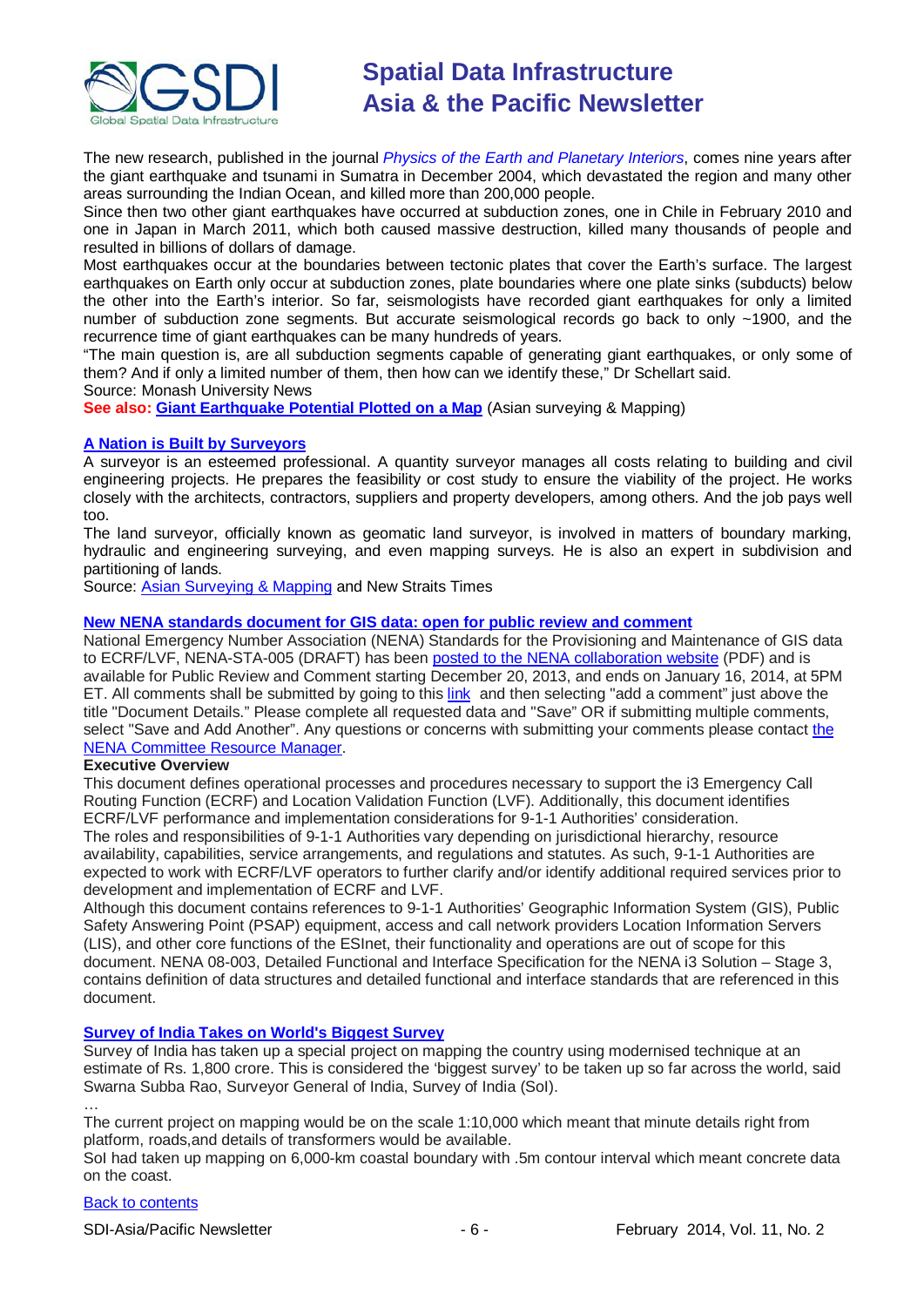

The new research, published in the journal *[Physics of the Earth and Planetary Interiors](http://www.sciencedirect.com/science/article/pii/S0031920113001465)*, comes nine years after the giant earthquake and tsunami in Sumatra in December 2004, which devastated the region and many other areas surrounding the Indian Ocean, and killed more than 200,000 people.

Since then two other giant earthquakes have occurred at subduction zones, one in Chile in February 2010 and one in Japan in March 2011, which both caused massive destruction, killed many thousands of people and resulted in billions of dollars of damage.

Most earthquakes occur at the boundaries between tectonic plates that cover the Earth's surface. The largest earthquakes on Earth only occur at subduction zones, plate boundaries where one plate sinks (subducts) below the other into the Earth's interior. So far, seismologists have recorded giant earthquakes for only a limited number of subduction zone segments. But accurate seismological records go back to only ~1900, and the recurrence time of giant earthquakes can be many hundreds of years.

"The main question is, are all subduction segments capable of generating giant earthquakes, or only some of them? And if only a limited number of them, then how can we identify these," Dr Schellart said.

Source: Monash University News

**See also: [Giant Earthquake Potential Plotted on a Map](http://www.asmmag.com/2012-12-30-14-40-18/feature/6191-giant-earthquake-potential-plotted-on-a-map.html) (Asian surveying & Mapping)** 

#### **[A Nation is Built by Surveyors](http://www.nst.com.my/streets/johor/a-nation-is-built-by-surveyors-1.469194#ixzz2rX47JJHX)**

A surveyor is an esteemed professional. A quantity surveyor manages all costs relating to building and civil engineering projects. He prepares the feasibility or cost study to ensure the viability of the project. He works closely with the architects, contractors, suppliers and property developers, among others. And the job pays well too.

The land surveyor, officially known as geomatic land surveyor, is involved in matters of boundary marking, hydraulic and engineering surveying, and even mapping surveys. He is also an expert in subdivision and partitioning of lands.

Source: [Asian Surveying & Mapping](http://www.asmmag.com/2012-12-30-14-17-42/headlines/6242-a-nation-is-built-by-surveyors.html) and New Straits Times

#### **[New NENA standards document for GIS data: open for public review and comment](https://www.nena.org/news/150734/New-NENA-Standards-Document-available-for-Public-Review-and-Comment.htm)**

National Emergency Number Association (NENA) Standards for the Provisioning and Maintenance of GIS data to ECRF/LVF, NENA-STA-005 (DRAFT) has been [posted to the NENA collaboration website](http://dev.nena.org/apps/group_public/download.php/2910/20131029%20ECRF-LVF%20NENA%20STA-005%20DRAFT%20PubRvw.pdf) (PDF) and is available for Public Review and Comment starting December 20, 2013, and ends on January 16, 2014, at 5PM ET. All comments shall be submitted by going to this [link](http://dev.nena.org/apps/group_public/document.php?document_id=2910&wg_abbrev=csdm-ecrf-lvf) and then selecting "add a comment" just above the title "Document Details." Please complete all requested data and "Save" OR if submitting multiple comments, select "Save and Add Another". Any questions or concerns with submitting your comments please contact the [NENA Committee Resource Manager.](mailto:crm@nena.org)

#### **Executive Overview**

This document defines operational processes and procedures necessary to support the i3 Emergency Call Routing Function (ECRF) and Location Validation Function (LVF). Additionally, this document identifies ECRF/LVF performance and implementation considerations for 9-1-1 Authorities' consideration. The roles and responsibilities of 9-1-1 Authorities vary depending on jurisdictional hierarchy, resource availability, capabilities, service arrangements, and regulations and statutes. As such, 9-1-1 Authorities are expected to work with ECRF/LVF operators to further clarify and/or identify additional required services prior to development and implementation of ECRF and LVF.

Although this document contains references to 9-1-1 Authorities' Geographic Information System (GIS), Public Safety Answering Point (PSAP) equipment, access and call network providers Location Information Servers (LIS), and other core functions of the ESInet, their functionality and operations are out of scope for this document. NENA 08-003, Detailed Functional and Interface Specification for the NENA i3 Solution – Stage 3, contains definition of data structures and detailed functional and interface standards that are referenced in this document.

#### **[Survey of India Takes on World's Biggest Survey](http://www.thehindu.com/news/cities/Tiruchirapalli/soi-takes-up-biggest-survey-on-mapping/article5620108.ece)**

Survey of India has taken up a special project on mapping the country using modernised technique at an estimate of Rs. 1,800 crore. This is considered the 'biggest survey' to be taken up so far across the world, said Swarna Subba Rao, Surveyor General of India, Survey of India (SoI).

…

The current project on mapping would be on the scale 1:10,000 which meant that minute details right from platform, roads,and details of transformers would be available.

SoI had taken up mapping on 6,000-km coastal boundary with .5m contour interval which meant concrete data on the coast.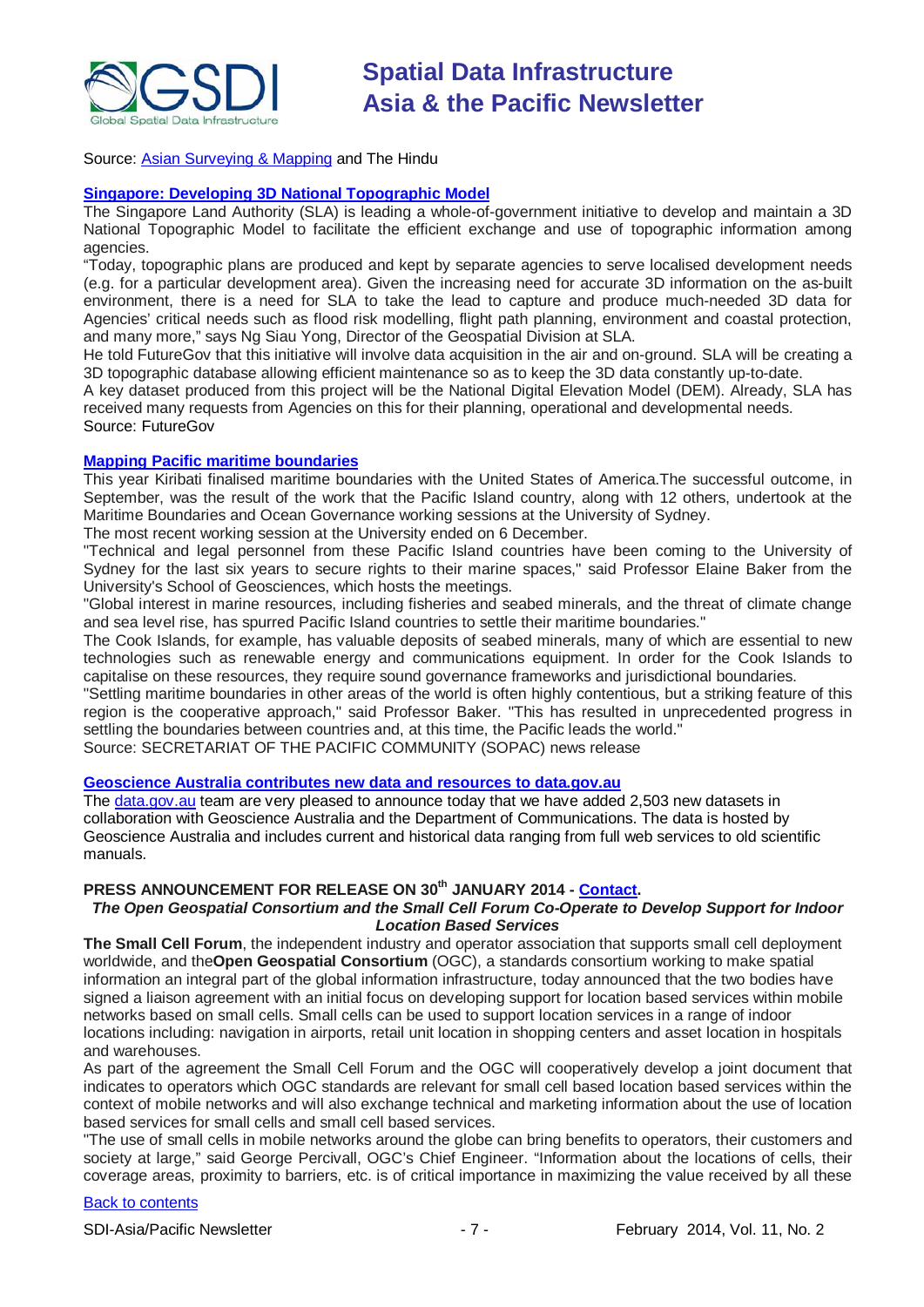

#### Source: [Asian Surveying & Mapping](http://www.asmmag.com/2012-12-30-14-17-42/headlines/6240-survey-of-india-takes-on-world-s-biggest-survey.html) and The Hindu

#### **[Singapore: Developing 3D National Topographic Model](http://www.futuregov.asia/articles/2013/dec/13/singapore-develop-3d-national-topographic-model/)**

The Singapore Land Authority (SLA) is leading a whole-of-government initiative to develop and maintain a 3D National Topographic Model to facilitate the efficient exchange and use of topographic information among agencies.

"Today, topographic plans are produced and kept by separate agencies to serve localised development needs (e.g. for a particular development area). Given the increasing need for accurate 3D information on the as-built environment, there is a need for SLA to take the lead to capture and produce much-needed 3D data for Agencies' critical needs such as flood risk modelling, flight path planning, environment and coastal protection, and many more," says Ng Siau Yong, Director of the Geospatial Division at SLA.

He told FutureGov that this initiative will involve data acquisition in the air and on-ground. SLA will be creating a 3D topographic database allowing efficient maintenance so as to keep the 3D data constantly up-to-date.

A key dataset produced from this project will be the National Digital Elevation Model (DEM). Already, SLA has received many requests from Agencies on this for their planning, operational and developmental needs. Source: FutureGov

#### **[Mapping Pacific maritime boundaries](http://www.sopac.org/index.php/media-releases/1-latest-news/546-mapping-pacific-maritime-boundaries)**

This year Kiribati finalised maritime boundaries with the United States of America.The successful outcome, in September, was the result of the work that the Pacific Island country, along with 12 others, undertook at the Maritime Boundaries and Ocean Governance working sessions at the University of Sydney.

The most recent working session at the University ended on 6 December.

"Technical and legal personnel from these Pacific Island countries have been coming to the University of Sydney for the last six years to secure rights to their marine spaces," said Professor Elaine Baker from the University's School of Geosciences, which hosts the meetings.

"Global interest in marine resources, including fisheries and seabed minerals, and the threat of climate change and sea level rise, has spurred Pacific Island countries to settle their maritime boundaries."

The Cook Islands, for example, has valuable deposits of seabed minerals, many of which are essential to new technologies such as renewable energy and communications equipment. In order for the Cook Islands to capitalise on these resources, they require sound governance frameworks and jurisdictional boundaries.

"Settling maritime boundaries in other areas of the world is often highly contentious, but a striking feature of this region is the cooperative approach," said Professor Baker. "This has resulted in unprecedented progress in settling the boundaries between countries and, at this time, the Pacific leads the world."

Source: [SECRETARIAT OF THE PACIFIC COMMUNITY \(SOPAC\)](http://www.sopac.org/index.php/south-pacific-applied-geoscience-commission) news release

#### **Geoscience [Australia contributes new data and resources to data.gov.au](http://www.finance.gov.au/blog/2014/1/21/geoscience-australia-contributes-new-data-and-resources-to-datagovaau/)**

The [data.gov.au](http://www.data.gov.au/) team are very pleased to announce today that we have added 2,503 new datasets in collaboration with Geoscience Australia and the Department of Communications. The data is hosted by Geoscience Australia and includes current and historical data ranging from full web services to old scientific manuals.

### **PRESS ANNOUNCEMENT FOR RELEASE ON 30<sup>th</sup> JANUARY 2014 - [Contact.](mailto:info@opengeospatial.org)**

#### *The Open Geospatial Consortium and the Small Cell Forum Co-Operate to Develop Support for Indoor Location Based Services*

**The Small Cell Forum**, the independent industry and operator association that supports small cell deployment worldwide, and the**Open Geospatial Consortium** (OGC), a standards consortium working to make spatial information an integral part of the global information infrastructure, today announced that the two bodies have signed a liaison agreement with an initial focus on developing support for location based services within mobile networks based on small cells. Small cells can be used to support location services in a range of indoor locations including: navigation in airports, retail unit location in shopping centers and asset location in hospitals and warehouses.

As part of the agreement the Small Cell Forum and the OGC will cooperatively develop a joint document that indicates to operators which OGC standards are relevant for small cell based location based services within the context of mobile networks and will also exchange technical and marketing information about the use of location based services for small cells and small cell based services.

"The use of small cells in mobile networks around the globe can bring benefits to operators, their customers and society at large," said George Percivall, OGC's Chief Engineer. "Information about the locations of cells, their coverage areas, proximity to barriers, etc. is of critical importance in maximizing the value received by all these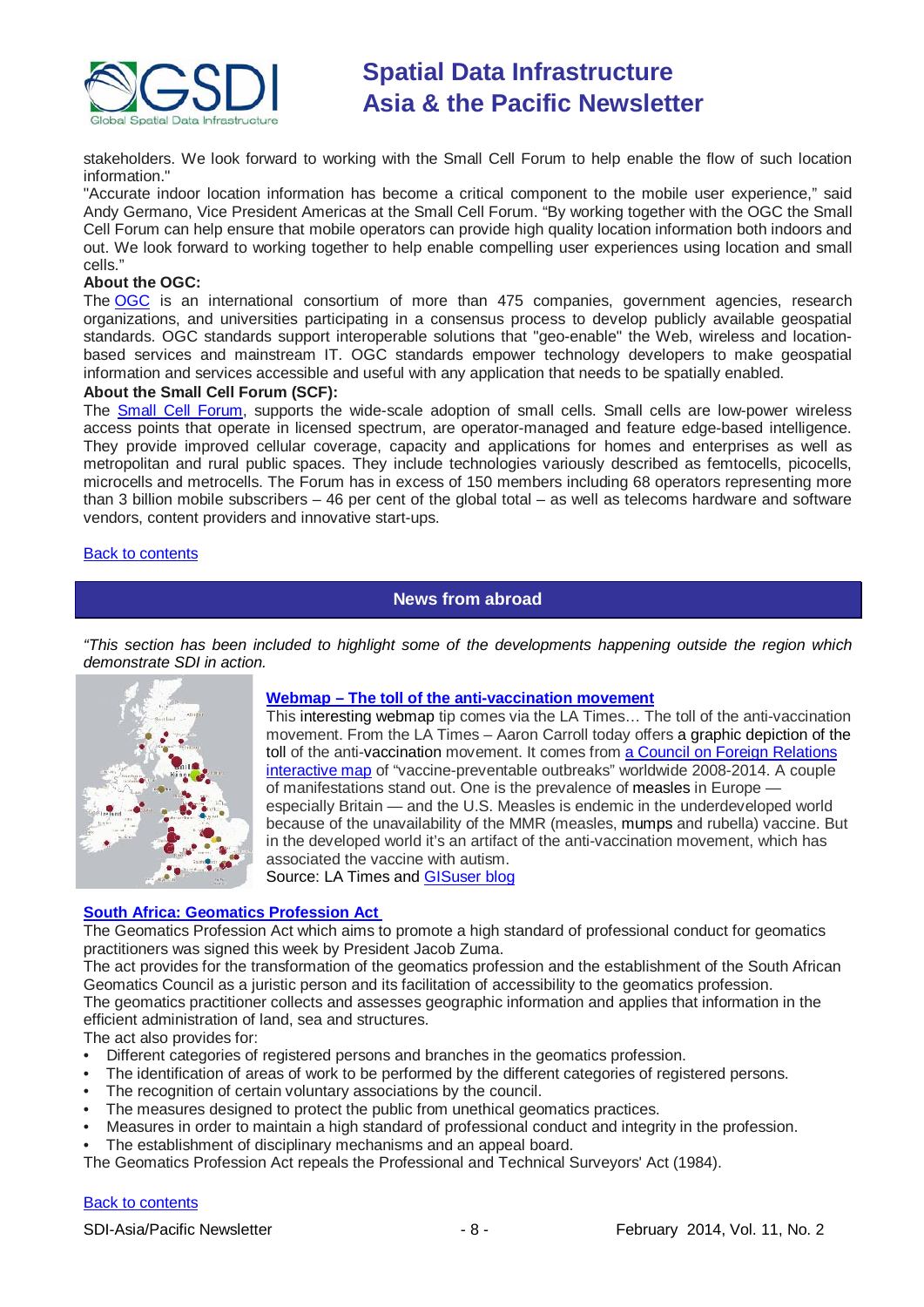

stakeholders. We look forward to working with the Small Cell Forum to help enable the flow of such location information."

"Accurate indoor location information has become a critical component to the mobile user experience," said Andy Germano, Vice President Americas at the Small Cell Forum. "By working together with the OGC the Small Cell Forum can help ensure that mobile operators can provide high quality location information both indoors and out. We look forward to working together to help enable compelling user experiences using location and small cells."

#### **About the OGC:**

The [OGC](http://www.opengeospatial.org/contact) is an international consortium of more than 475 companies, government agencies, research organizations, and universities participating in a consensus process to develop publicly available geospatial standards. OGC standards support interoperable solutions that "geo-enable" the Web, wireless and locationbased services and mainstream IT. OGC standards empower technology developers to make geospatial information and services accessible and useful with any application that needs to be spatially enabled.

#### **About the Small Cell Forum (SCF):**

The **Small Cell Forum**, supports the wide-scale adoption of small cells. Small cells are low-power wireless access points that operate in licensed spectrum, are operator-managed and feature edge-based intelligence. They provide improved cellular coverage, capacity and applications for homes and enterprises as well as metropolitan and rural public spaces. They include technologies variously described as femtocells, picocells, microcells and metrocells. The Forum has in excess of 150 members including 68 operators representing more than 3 billion mobile subscribers – 46 per cent of the global total – as well as telecoms hardware and software vendors, content providers and innovative start-ups.

#### <span id="page-7-0"></span>[Back to contents](#page-0-0)

### **News from abroad**

*"This section has been included to highlight some of the developments happening outside the region which demonstrate SDI in action.*



#### **Webmap – [The toll of the anti-vaccination movement](http://www.latimes.com/business/hiltzik/la-fi-mh-antivaccination-movement-20140120,0,5576371.story?fb_action_ids=630862716961002&fb_action_types=og.likes&fb_ref=s%3DshowShareBarUI%3Ap%3Dfacebook-like&fb_source=other_multiline&action_object_map=%5b14031822965)**

This interesting webmap tip comes via the LA Times… The toll of the anti-vaccination movement. From the LA Times – Aaron Carroll today offers a graphic depiction of the toll of the anti-vaccination movement. It comes from a Council on Foreign [Relations](http://www.cfr.org/interactives/GH_Vaccine_Map/#map) [interactive](http://www.cfr.org/interactives/GH_Vaccine_Map/#map) map of "vaccine-preventable outbreaks" worldwide 2008-2014. A couple of manifestations stand out. One is the prevalence of measles in Europe especially Britain — and the U.S. Measles is endemic in the underdeveloped world because of the unavailability of the MMR (measles, mumps and rubella) vaccine. But in the developed world it's an artifact of the anti-vaccination movement, which has associated the vaccine with autism.

Source: LA Times and [GISuser blog](http://blog.gisuser.com/2014/01/22/webmap-the-toll-of-the-anti-vaccination-movement/)

#### **[South Africa: Geomatics Profession Act](http://www.sabinetlaw.co.za/land-reform/articles/geomatics-profession-act-signed)**

The Geomatics Profession Act which aims to promote a high standard of professional conduct for geomatics practitioners was signed this week by President Jacob Zuma.

The act provides for the transformation of the geomatics profession and the establishment of the South African Geomatics Council as a juristic person and its facilitation of accessibility to the geomatics profession. The geomatics practitioner collects and assesses geographic information and applies that information in the efficient administration of land, sea and structures.

The act also provides for:

- Different categories of registered persons and branches in the geomatics profession.
- The identification of areas of work to be performed by the different categories of registered persons.
- The recognition of certain voluntary associations by the council.
- The measures designed to protect the public from unethical geomatics practices.
- Measures in order to maintain a high standard of professional conduct and integrity in the profession.
- The establishment of disciplinary mechanisms and an appeal board.

The Geomatics Profession Act repeals the Professional and Technical Surveyors' Act (1984).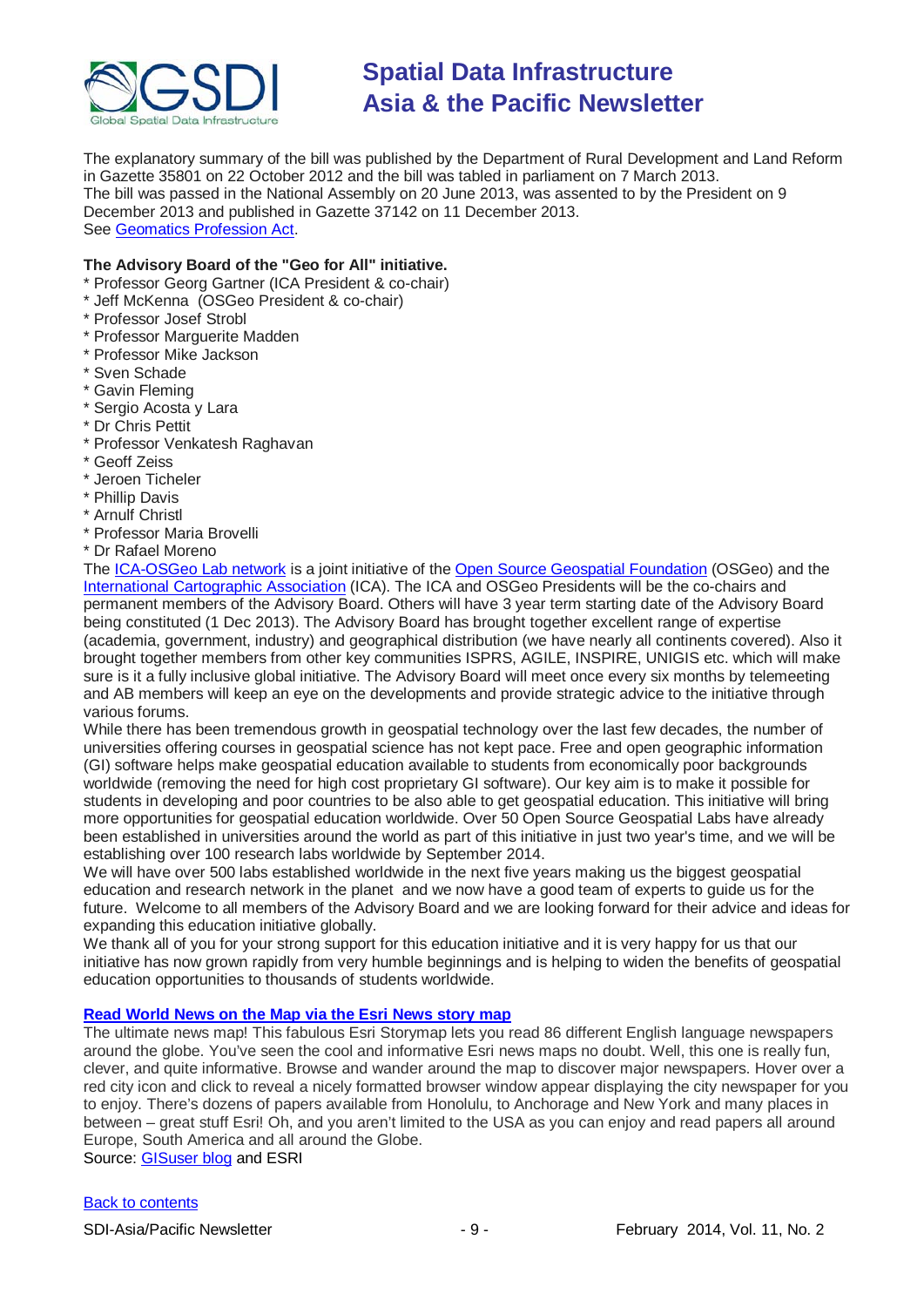

The explanatory summary of the bill was published by the Department of Rural Development and Land Reform in Gazette 35801 on 22 October 2012 and the bill was tabled in parliament on 7 March 2013. The bill was passed in the National Assembly on 20 June 2013, was assented to by the President on 9 December 2013 and published in Gazette 37142 on 11 December 2013. See [Geomatics Profession Act.](http://www.gov.za/documents/download.php?f=205626)

#### **The Advisory Board of the "Geo for All" initiative.**

- \* Professor Georg Gartner (ICA President & co-chair)
- \* Jeff McKenna (OSGeo President & co-chair)
- \* Professor Josef Strobl
- \* Professor Marguerite Madden
- \* Professor Mike Jackson
- \* Sven Schade
- \* Gavin Fleming
- \* Sergio Acosta y Lara
- \* Dr Chris Pettit
- \* Professor Venkatesh Raghavan
- \* Geoff Zeiss
- \* Jeroen Ticheler
- \* Phillip Davis
- \* Arnulf Christl
- \* Professor Maria Brovelli
- \* Dr Rafael Moreno

The [ICA-OSGeo Lab network](http://www.geoforall.org/) is a joint initiative of the [Open Source Geospatial Foundation](http://osgeo.org/) (OSGeo) and the [International Cartographic Association](http://icaci.org/) (ICA). The ICA and OSGeo Presidents will be the co-chairs and permanent members of the Advisory Board. Others will have 3 year term starting date of the Advisory Board being constituted (1 Dec 2013). The Advisory Board has brought together excellent range of expertise (academia, government, industry) and geographical distribution (we have nearly all continents covered). Also it brought together members from other key communities ISPRS, AGILE, INSPIRE, UNIGIS etc. which will make sure is it a fully inclusive global initiative. The Advisory Board will meet once every six months by telemeeting and AB members will keep an eye on the developments and provide strategic advice to the initiative through various forums.

While there has been tremendous growth in geospatial technology over the last few decades, the number of universities offering courses in geospatial science has not kept pace. Free and open geographic information (GI) software helps make geospatial education available to students from economically poor backgrounds worldwide (removing the need for high cost proprietary GI software). Our key aim is to make it possible for students in developing and poor countries to be also able to get geospatial education. This initiative will bring more opportunities for geospatial education worldwide. Over 50 Open Source Geospatial Labs have already been established in universities around the world as part of this initiative in just two year's time, and we will be establishing over 100 research labs worldwide by September 2014.

We will have over 500 labs established worldwide in the next five years making us the biggest geospatial education and research network in the planet and we now have a good team of experts to guide us for the future. Welcome to all members of the Advisory Board and we are looking forward for their advice and ideas for expanding this education initiative globally.

We thank all of you for your strong support for this education initiative and it is very happy for us that our initiative has now grown rapidly from very humble beginnings and is helping to widen the benefits of geospatial education opportunities to thousands of students worldwide.

#### **[Read World News on the Map via the Esri News story map](http://esripm.maps.arcgis.com/apps/MapTour/index.html?appid=9709a277bc714b97a1bfe1406023e5c2&webmap=c13b1fd7be464cdf86bf885939593e21)**

The ultimate news map! This fabulous Esri Storymap lets you read 86 different English language newspapers around the globe. You've seen the cool and informative Esri news maps no doubt. Well, this one is really fun, clever, and quite informative. Browse and wander around the map to discover major newspapers. Hover over a red city icon and click to reveal a nicely formatted browser window appear displaying the city newspaper for you to enjoy. There's dozens of papers available from Honolulu, to Anchorage and New York and many places in between – great stuff Esri! Oh, and you aren't limited to the USA as you can enjoy and read papers all around Europe, South America and all around the Globe.

Source: [GISuser blog](http://blog.gisuser.com/2014/01/09/read-world-news-on-the-map-via-the-esri-news-story-map/) and ESRI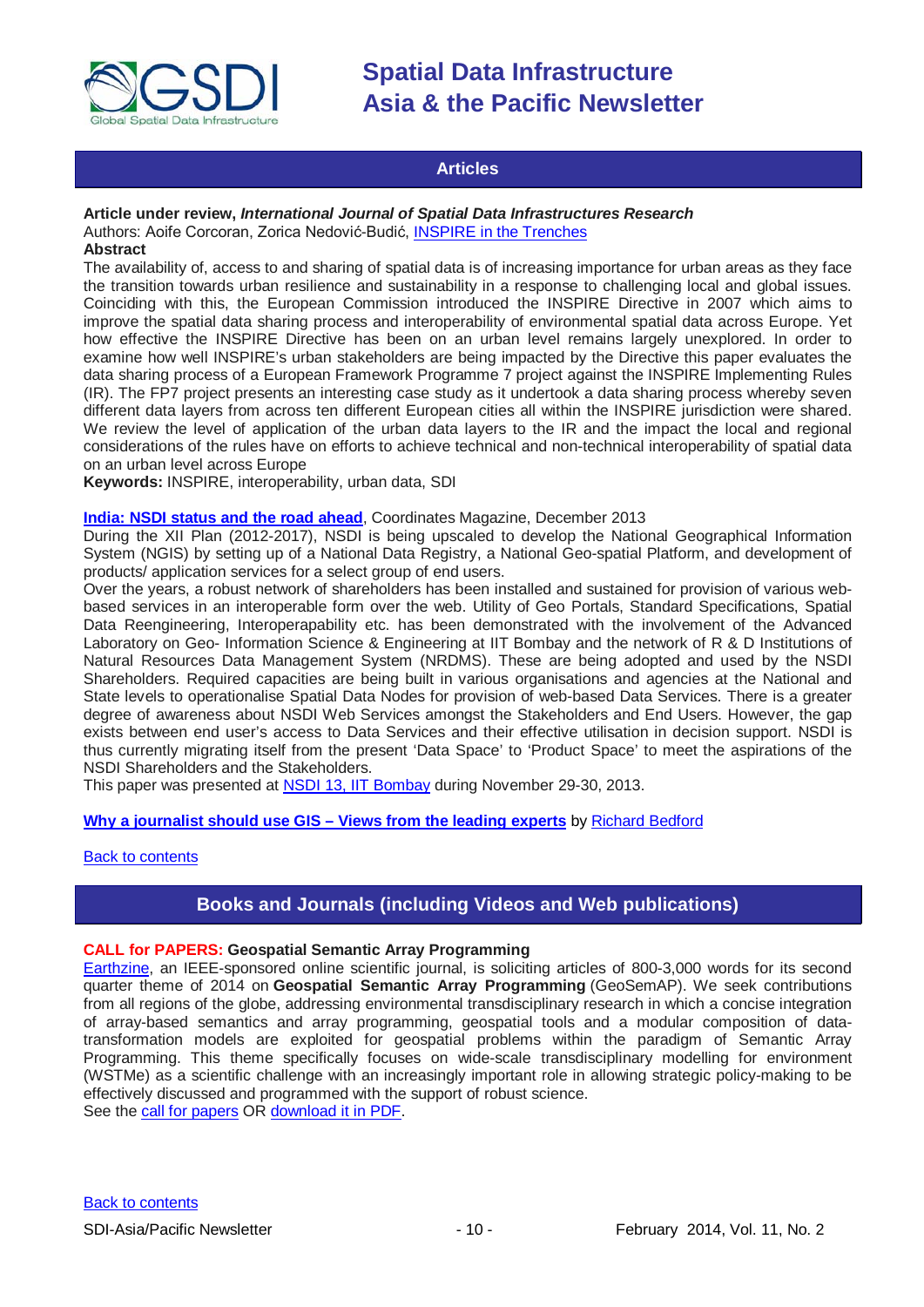

### **Articles**

<span id="page-9-0"></span>**Article under review,** *International Journal of Spatial Data Infrastructures Research* Authors: Aoife Corcoran, Zorica Nedović-Budić, [INSPIRE in the Trenches](http://ijsdir.jrc.ec.europa.eu/index.php/ijsdir/article/view/345) **Abstract**

The availability of, access to and sharing of spatial data is of increasing importance for urban areas as they face the transition towards urban resilience and sustainability in a response to challenging local and global issues. Coinciding with this, the European Commission introduced the INSPIRE Directive in 2007 which aims to improve the spatial data sharing process and interoperability of environmental spatial data across Europe. Yet how effective the INSPIRE Directive has been on an urban level remains largely unexplored. In order to examine how well INSPIRE's urban stakeholders are being impacted by the Directive this paper evaluates the data sharing process of a European Framework Programme 7 project against the INSPIRE Implementing Rules (IR). The FP7 project presents an interesting case study as it undertook a data sharing process whereby seven different data layers from across ten different European cities all within the INSPIRE jurisdiction were shared. We review the level of application of the urban data layers to the IR and the impact the local and regional considerations of the rules have on efforts to achieve technical and non-technical interoperability of spatial data on an urban level across Europe

**Keywords:** INSPIRE, interoperability, urban data, SDI

#### **[India: NSDI status and the road ahead](http://mycoordinates.org/nsdi-in-india-status-and-the-road-ahead/)**, Coordinates Magazine, December 2013

During the XII Plan (2012-2017), NSDI is being upscaled to develop the National Geographical Information System (NGIS) by setting up of a National Data Registry, a National Geo-spatial Platform, and development of products/ application services for a select group of end users.

Over the years, a robust network of shareholders has been installed and sustained for provision of various webbased services in an interoperable form over the web. Utility of Geo Portals, Standard Specifications, Spatial Data Reengineering, Interoperapability etc. has been demonstrated with the involvement of the Advanced Laboratory on Geo- Information Science & Engineering at IIT Bombay and the network of R & D Institutions of Natural Resources Data Management System (NRDMS). These are being adopted and used by the NSDI Shareholders. Required capacities are being built in various organisations and agencies at the National and State levels to operationalise Spatial Data Nodes for provision of web-based Data Services. There is a greater degree of awareness about NSDI Web Services amongst the Stakeholders and End Users. However, the gap exists between end user's access to Data Services and their effective utilisation in decision support. NSDI is thus currently migrating itself from the present 'Data Space' to 'Product Space' to meet the aspirations of the NSDI Shareholders and the Stakeholders.

This paper was presented at [NSDI 13, IIT Bombay](http://www.nsdi-2013.in/) during November 29-30, 2013.

**[Why a journalist should use GIS –](http://richybedford.wordpress.com/2014/01/10/why-journalists-sould-use-geographic-information-systems-gis-the-views-of-leading-data-journalism-experts/) Views from the leading experts** by [Richard Bedford](http://richybedford.wordpress.com/)

#### <span id="page-9-1"></span>[Back to contents](#page-0-0)

### **Books and Journals (including Videos and Web publications)**

#### **CALL for PAPERS: Geospatial Semantic Array Programming**

[Earthzine,](http://www.earthzine.org/) an IEEE-sponsored online scientific journal, is soliciting articles of 800-3,000 words for its second quarter theme of 2014 on **Geospatial Semantic Array Programming** (GeoSemAP). We seek contributions from all regions of the globe, addressing environmental transdisciplinary research in which a concise integration of array-based semantics and array programming, geospatial tools and a modular composition of datatransformation models are exploited for geospatial problems within the paradigm of Semantic Array Programming. This theme specifically focuses on wide-scale transdisciplinary modelling for environment (WSTMe) as a scientific challenge with an increasingly important role in allowing strategic policy-making to be effectively discussed and programmed with the support of robust science. See the [call for papers](http://www.earthzine.org/2013/12/18/call-for-papers-geospatial-semantic-array-programming/) OR [download it in PDF.](http://www.earthzine.org/wp-content/uploads/2013/12/Call-For-Papers-GeoSemAP.pdf)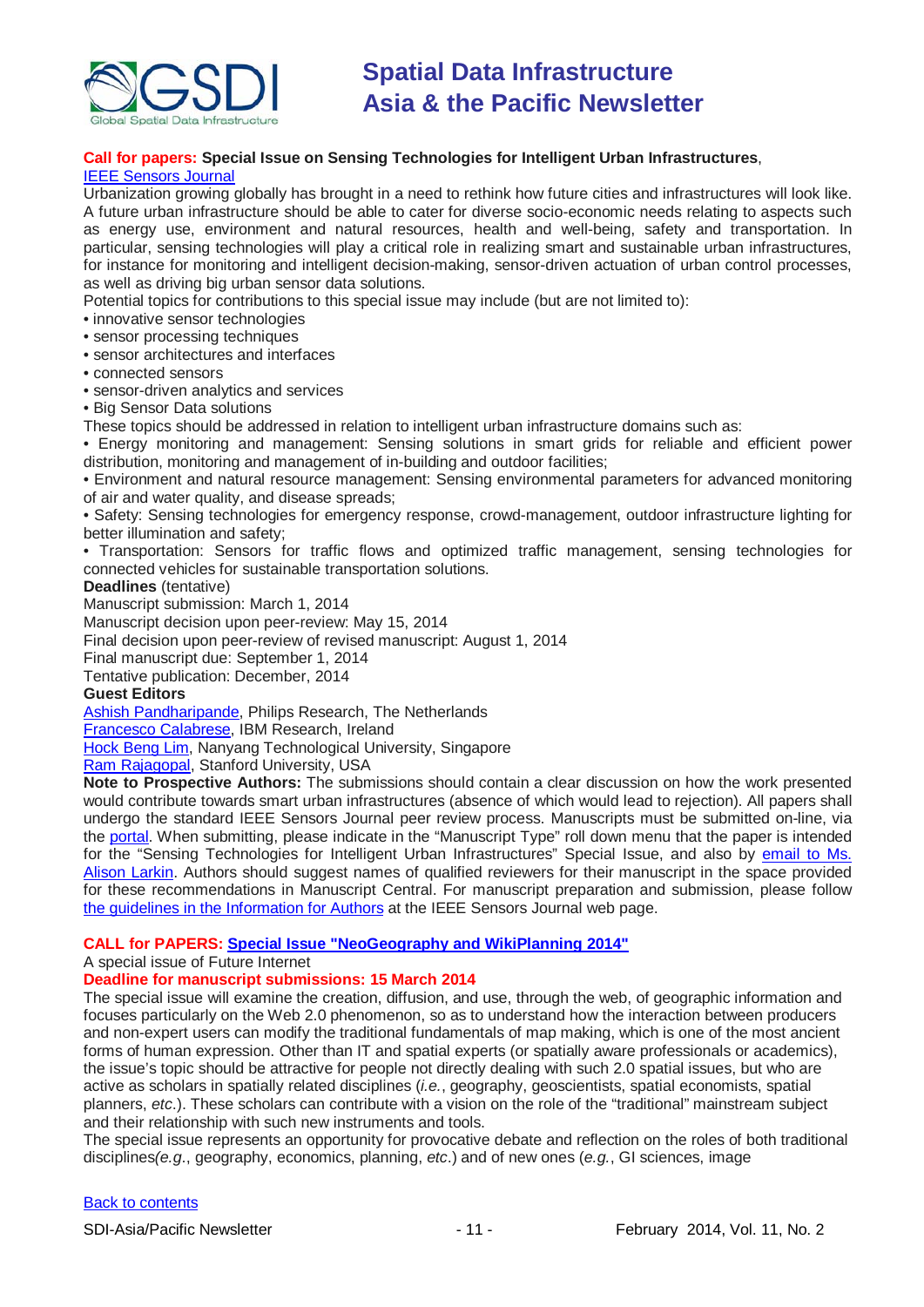

#### **Call for papers: Special Issue on Sensing Technologies for Intelligent Urban Infrastructures**, [IEEE Sensors Journal](https://docs.google.com/viewer?a=v&pid=sites&srcid=ZGVmYXVsdGRvbWFpbnxwYXNoaXNofGd4OmIxOWY2ZmY0MmM4MGJhZg)

Urbanization growing globally has brought in a need to rethink how future cities and infrastructures will look like. A future urban infrastructure should be able to cater for diverse socio-economic needs relating to aspects such as energy use, environment and natural resources, health and well-being, safety and transportation. In particular, sensing technologies will play a critical role in realizing smart and sustainable urban infrastructures, for instance for monitoring and intelligent decision-making, sensor-driven actuation of urban control processes, as well as driving big urban sensor data solutions.

Potential topics for contributions to this special issue may include (but are not limited to):

- innovative sensor technologies
- sensor processing techniques
- sensor architectures and interfaces
- connected sensors
- sensor-driven analytics and services
- Big Sensor Data solutions
- These topics should be addressed in relation to intelligent urban infrastructure domains such as:

• Energy monitoring and management: Sensing solutions in smart grids for reliable and efficient power distribution, monitoring and management of in-building and outdoor facilities;

• Environment and natural resource management: Sensing environmental parameters for advanced monitoring of air and water quality, and disease spreads;

• Safety: Sensing technologies for emergency response, crowd-management, outdoor infrastructure lighting for better illumination and safety;

• Transportation: Sensors for traffic flows and optimized traffic management, sensing technologies for connected vehicles for sustainable transportation solutions.

#### **Deadlines** (tentative)

Manuscript submission: March 1, 2014

Manuscript decision upon peer-review: May 15, 2014

Final decision upon peer-review of revised manuscript: August 1, 2014

Final manuscript due: September 1, 2014

Tentative publication: December, 2014

#### **Guest Editors**

[Ashish Pandharipande,](mailto:pashish@ieee.org) Philips Research, The Netherlands

[Francesco Calabrese,](mailto:fcalabre@ie.ibm.com) IBM Research, Ireland

[Hock Beng Lim,](mailto:limhb@ntu.edu.sg) Nanyang Technological University, Singapore

[Ram Rajagopal,](mailto:ramr@stanford.edu) Stanford University, USA

**Note to Prospective Authors:** The submissions should contain a clear discussion on how the work presented would contribute towards smart urban infrastructures (absence of which would lead to rejection). All papers shall undergo the standard IEEE Sensors Journal peer review process. Manuscripts must be submitted on-line, via the [portal.](http://sensors-ieee.manuscriptcentral.com/) When submitting, please indicate in the "Manuscript Type" roll down menu that the paper is intended for the "Sensing Technologies for Intelligent Urban Infrastructures" Special Issue, and also by *email to Ms.* [Alison Larkin.](mailto:a.larkin@ieee.org) Authors should suggest names of qualified reviewers for their manuscript in the space provided for these recommendations in Manuscript Central. For manuscript preparation and submission, please follow [the guidelines in the Information for Authors](http://www.ieee-sensors.org/journals) at the IEEE Sensors Journal web page.

#### **CALL for PAPERS: [Special Issue "NeoGeography and WikiPlanning 2014"](http://www.mdpi.com/journal/futureinternet/special_issues/neogeography-wikiplanning-2014)**

A special issue of Future Internet

#### **Deadline for manuscript submissions: 15 March 2014**

The special issue will examine the creation, diffusion, and use, through the web, of geographic information and focuses particularly on the Web 2.0 phenomenon, so as to understand how the interaction between producers and non-expert users can modify the traditional fundamentals of map making, which is one of the most ancient forms of human expression. Other than IT and spatial experts (or spatially aware professionals or academics), the issue's topic should be attractive for people not directly dealing with such 2.0 spatial issues, but who are active as scholars in spatially related disciplines (*i.e.*, geography, geoscientists, spatial economists, spatial planners, *etc*.). These scholars can contribute with a vision on the role of the "traditional" mainstream subject and their relationship with such new instruments and tools.

The special issue represents an opportunity for provocative debate and reflection on the roles of both traditional disciplines*(e.g*., geography, economics, planning, *etc*.) and of new ones (*e.g.*, GI sciences, image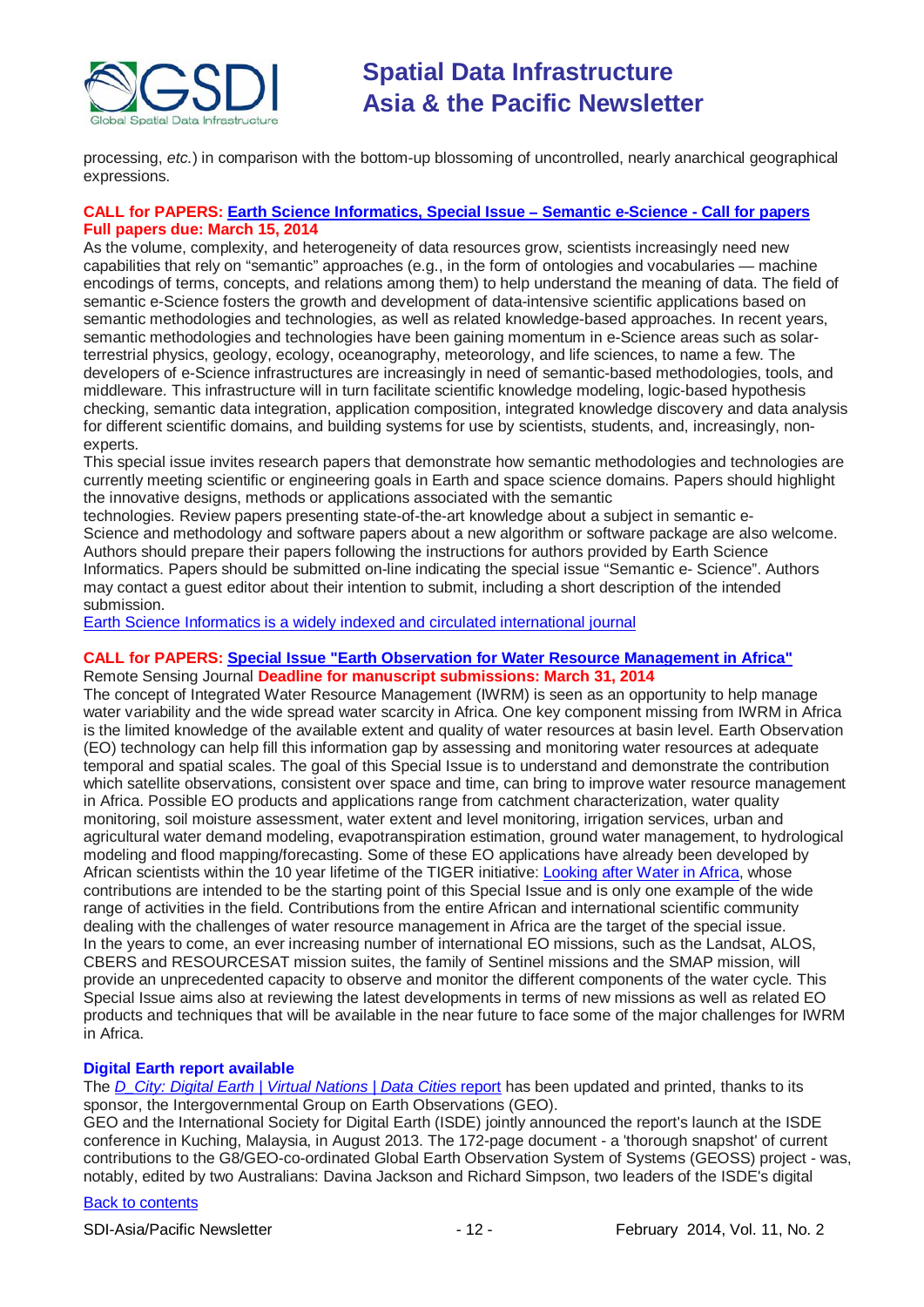

processing, *etc.*) in comparison with the bottom-up blossoming of uncontrolled, nearly anarchical geographical expressions.

### **CALL for PAPERS: [Earth Science Informatics, Special Issue](http://tw.rpi.edu/media/latest/ESIN_SeS_CFP.pdf)** ‒ **Semantic e-Science - Call for papers Full papers due: March 15, 2014**

As the volume, complexity, and heterogeneity of data resources grow, scientists increasingly need new capabilities that rely on "semantic" approaches (e.g., in the form of ontologies and vocabularies — machine encodings of terms, concepts, and relations among them) to help understand the meaning of data. The field of semantic e-Science fosters the growth and development of data-intensive scientific applications based on semantic methodologies and technologies, as well as related knowledge-based approaches. In recent years, semantic methodologies and technologies have been gaining momentum in e-Science areas such as solarterrestrial physics, geology, ecology, oceanography, meteorology, and life sciences, to name a few. The developers of e-Science infrastructures are increasingly in need of semantic-based methodologies, tools, and middleware. This infrastructure will in turn facilitate scientific knowledge modeling, logic-based hypothesis checking, semantic data integration, application composition, integrated knowledge discovery and data analysis for different scientific domains, and building systems for use by scientists, students, and, increasingly, nonexperts.

This special issue invites research papers that demonstrate how semantic methodologies and technologies are currently meeting scientific or engineering goals in Earth and space science domains. Papers should highlight the innovative designs, methods or applications associated with the semantic

technologies. Review papers presenting state-of-the-art knowledge about a subject in semantic e-Science and methodology and software papers about a new algorithm or software package are also welcome. Authors should prepare their papers following the instructions for authors provided by Earth Science Informatics. Papers should be submitted on-line indicating the special issue "Semantic e- Science". Authors may contact a guest editor about their intention to submit, including a short description of the intended submission.

[Earth Science Informatics is a widely indexed and circulated international journal](http://www.springer.com/earth+sciences+and+geography/journal/12145)

#### **CALL for PAPERS: [Special Issue "Earth Observation for Water Resource Management in Africa"](http://www.mdpi.com/journal/remotesensing/special_issues/water_management_in_africa)** Remote Sensing Journal **Deadline for manuscript submissions: March 31, 2014**

The concept of Integrated Water Resource Management (IWRM) is seen as an opportunity to help manage water variability and the wide spread water scarcity in Africa. One key component missing from IWRM in Africa is the limited knowledge of the available extent and quality of water resources at basin level. Earth Observation (EO) technology can help fill this information gap by assessing and monitoring water resources at adequate temporal and spatial scales. The goal of this Special Issue is to understand and demonstrate the contribution which satellite observations, consistent over space and time, can bring to improve water resource management in Africa. Possible EO products and applications range from catchment characterization, water quality monitoring, soil moisture assessment, water extent and level monitoring, irrigation services, urban and agricultural water demand modeling, evapotranspiration estimation, ground water management, to hydrological modeling and flood mapping/forecasting. Some of these EO applications have already been developed by African scientists within the 10 year lifetime of the TIGER initiative: [Looking after Water in Africa,](http://www.tiger.esa.int/) whose contributions are intended to be the starting point of this Special Issue and is only one example of the wide range of activities in the field. Contributions from the entire African and international scientific community dealing with the challenges of water resource management in Africa are the target of the special issue. In the years to come, an ever increasing number of international EO missions, such as the Landsat, ALOS, CBERS and RESOURCESAT mission suites, the family of Sentinel missions and the SMAP mission, will provide an unprecedented capacity to observe and monitor the different components of the water cycle. This Special Issue aims also at reviewing the latest developments in terms of new missions as well as related EO products and techniques that will be available in the near future to face some of the major challenges for IWRM in Africa.

#### **Digital Earth report available**

The *[D\\_City: Digital Earth | Virtual Nations | Data Cities](http://dcitynetwork.net/manifesto)* report has been updated and printed, thanks to its sponsor, the Intergovernmental Group on Earth Observations (GEO).

GEO and the International Society for Digital Earth (ISDE) jointly announced the report's launch at the ISDE conference in Kuching, Malaysia, in August 2013. The 172-page document - a 'thorough snapshot' of current contributions to the G8/GEO-co-ordinated Global Earth Observation System of Systems (GEOSS) project - was, notably, edited by two Australians: Davina Jackson and Richard Simpson, two leaders of the ISDE's digital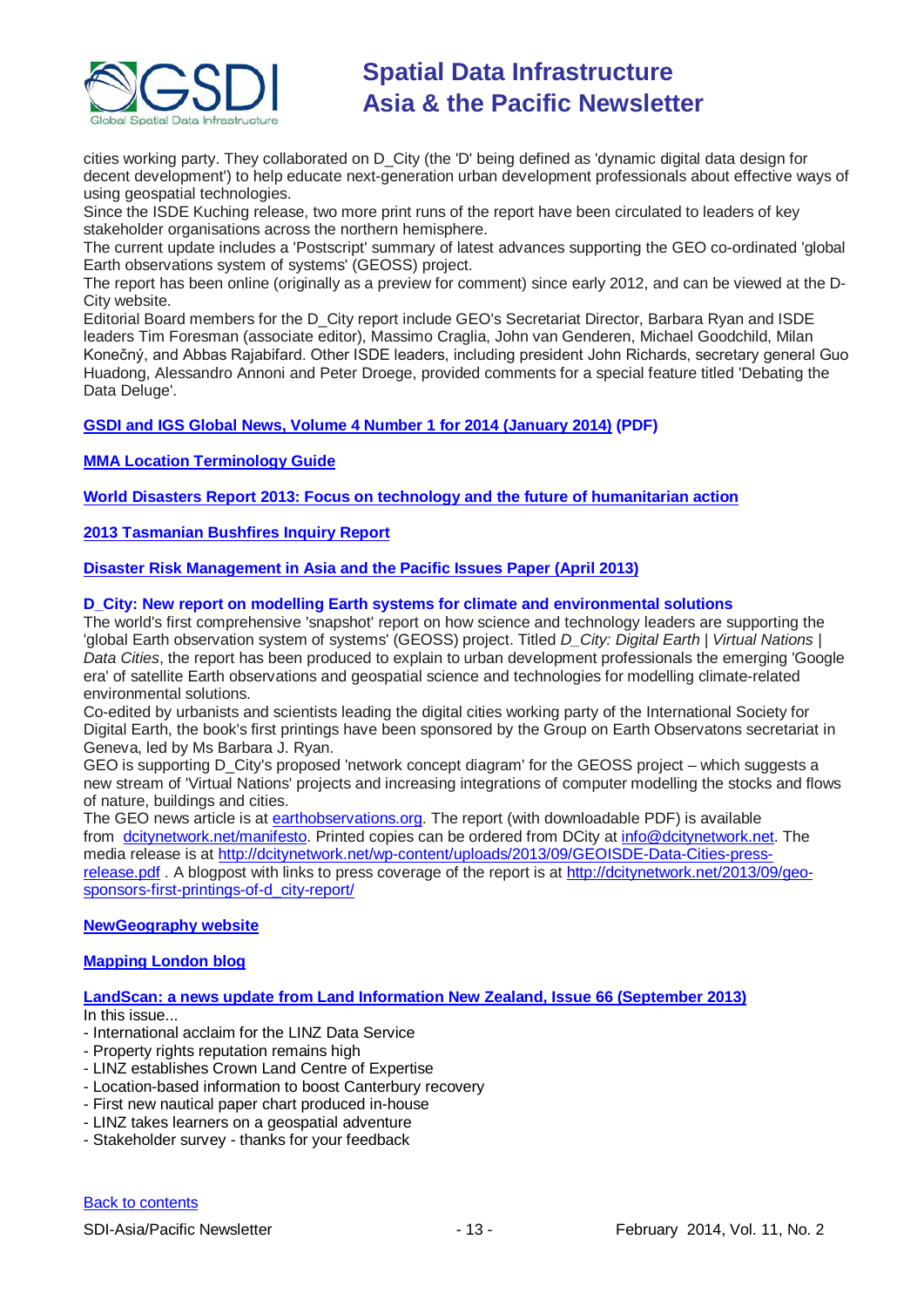

cities working party. They collaborated on D\_City (the 'D' being defined as 'dynamic digital data design for decent development') to help educate next-generation urban development professionals about effective ways of using geospatial technologies.

Since the ISDE Kuching release, two more print runs of the report have been circulated to leaders of key stakeholder organisations across the northern hemisphere.

The current update includes a 'Postscript' summary of latest advances supporting the GEO co-ordinated 'global Earth observations system of systems' (GEOSS) project.

The report has been online (originally as a preview for comment) since early 2012, and can be viewed at the D-City website.

Editorial Board members for the D\_City report include GEO's Secretariat Director, Barbara Ryan and ISDE leaders Tim Foresman (associate editor), Massimo Craglia, John van Genderen, Michael Goodchild, Milan Konečný, and Abbas Rajabifard. Other ISDE leaders, including president John Richards, secretary general Guo Huadong, Alessandro Annoni and Peter Droege, provided comments for a special feature titled 'Debating the Data Deluge'.

### **[GSDI and IGS Global News, Volume 4 Number 1 for 2014 \(January 2014\)](http://www.gsdi.org/newsletters#GSDI) (PDF)**

**[MMA Location Terminology Guide](http://www.mmaglobal.com/location-terminology-guide)**

**[World Disasters Report 2013: Focus on technology and the future of humanitarian action](http://www.ifrc.org/PageFiles/134658/WDR%202013%20complete.pdf)**

#### **[2013 Tasmanian Bushfires Inquiry Report](http://www.dpac.tas.gov.au/divisions/osem/2013_tasmanian_bushfires_inquiry_report/2013_tasmanian_bushfires_inquiry_report)**

#### **[Disaster Risk Management in Asia and the Pacific Issues Paper \(April 2013\)](http://www.pacificdisaster.net/pdnadmin/data/original/ADB_2013_DRM_Asia_Pacific.pdf)**

#### **D\_City: New report on modelling Earth systems for climate and environmental solutions**

The world's first comprehensive 'snapshot' report on how science and technology leaders are supporting the 'global Earth observation system of systems' (GEOSS) project. Titled *D\_City: Digital Earth | Virtual Nations | Data Cities*, the report has been produced to explain to urban development professionals the emerging 'Google era' of satellite Earth observations and geospatial science and technologies for modelling climate-related environmental solutions.

Co-edited by urbanists and scientists leading the digital cities working party of the International Society for Digital Earth, the book's first printings have been sponsored by the Group on Earth Observatons secretariat in Geneva, led by Ms Barbara J. Ryan.

GEO is supporting D\_City's proposed 'network concept diagram' for the GEOSS project – which suggests a new stream of 'Virtual Nations' projects and increasing integrations of computer modelling the stocks and flows of nature, buildings and cities.

The GEO news article is at [earthobservations.org.](http://earthobservations.org/) The report (with downloadable PDF) is available from [dcitynetwork.net/manifesto.](http://dcitynetwork.net/manifesto) Printed copies can be ordered from DCity at [info@dcitynetwork.net.](mailto:info@dcitynetwork.net) The media release is at [http://dcitynetwork.net/wp-content/uploads/2013/09/GEOISDE-Data-Cities-press](http://dcitynetwork.net/wp-content/uploads/2013/09/GEOISDE-Data-Cities-press-release.pdf)[release.pdf](http://dcitynetwork.net/wp-content/uploads/2013/09/GEOISDE-Data-Cities-press-release.pdf) . A blogpost with links to press coverage of the report is at [http://dcitynetwork.net/2013/09/geo](http://dcitynetwork.net/2013/09/geo-sponsors-first-printings-of-d_city-report/)[sponsors-first-printings-of-d\\_city-report/](http://dcitynetwork.net/2013/09/geo-sponsors-first-printings-of-d_city-report/)

#### **[NewGeography website](http://www.newgeography.com/)**

#### **[Mapping London blog](http://mappinglondon.co.uk/)**

#### **[LandScan: a news update from Land Information New Zealand, Issue 66](http://www.linz.govt.nz/sites/default/files/docs/supporting-info/about-linz/publications/landscan-201303.pdf) (September 2013)**

In this issue...

- International acclaim for the LINZ Data Service
- Property rights reputation remains high
- LINZ establishes Crown Land Centre of Expertise
- Location-based information to boost Canterbury recovery
- First new nautical paper chart produced in-house
- LINZ takes learners on a geospatial adventure
- Stakeholder survey thanks for your feedback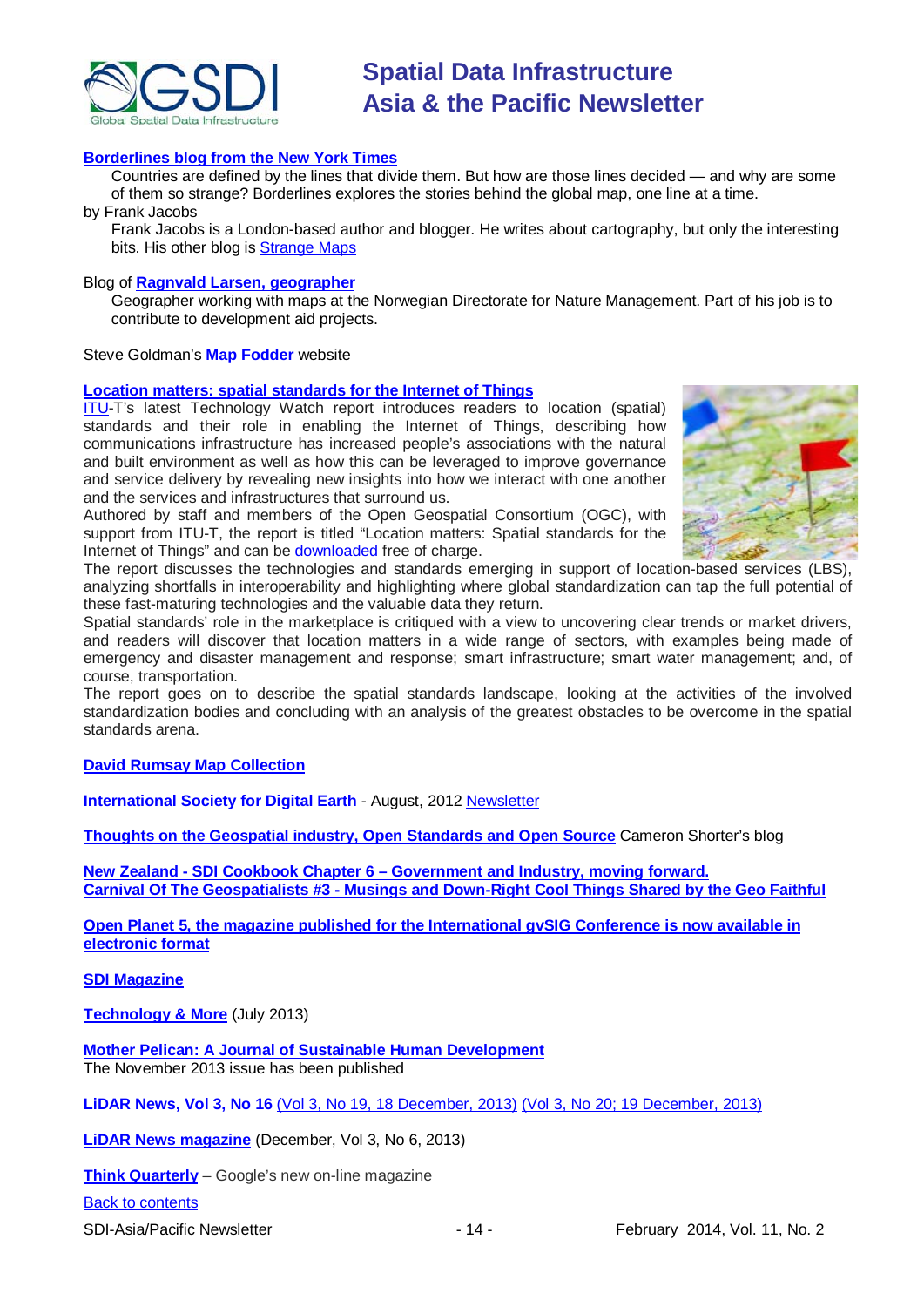

#### **[Borderlines blog from the New York Times](http://opinionator.blogs.nytimes.com/category/borderlines/)**

Countries are defined by the lines that divide them. But how are those lines decided — and why are some of them so strange? Borderlines explores the stories behind the global map, one line at a time.

#### by Frank Jacobs

Frank Jacobs is a London-based author and blogger. He writes about cartography, but only the interesting bits. His other blog is [Strange Maps](http://bigthink.com/blogs/strange-maps)

#### Blog of **Ragnvald [Larsen, geographer](http://www.mindland.com/wp/)**

Geographer working with maps at the Norwegian Directorate for Nature Management. Part of his job is to contribute to development aid projects.

Steve Goldman's **[Map Fodder](http://www.mapfodder.com/index.html)** website

#### **[Location matters: spatial standards for the Internet of Things](http://www.itu.int/dms_pub/itu-t/oth/23/01/T23010000210001PDFE.pdf)**

[ITU-](http://newslog.itu.int/archives/148)T's latest Technology Watch report introduces readers to location (spatial) standards and their role in enabling the Internet of Things, describing how communications infrastructure has increased people's associations with the natural and built environment as well as how this can be leveraged to improve governance and service delivery by revealing new insights into how we interact with one another and the services and infrastructures that surround us.

Authored by staff and members of the Open Geospatial Consortium (OGC), with support from ITU-T, the report is titled "Location matters: Spatial standards for the Internet of Things" and can be [downloaded](http://www.itu.int/dms_pub/itu-t/oth/23/01/T23010000210001PDFE.pdf) free of charge.



The report discusses the technologies and standards emerging in support of location-based services (LBS), analyzing shortfalls in interoperability and highlighting where global standardization can tap the full potential of these fast-maturing technologies and the valuable data they return.

Spatial standards' role in the marketplace is critiqued with a view to uncovering clear trends or market drivers, and readers will discover that location matters in a wide range of sectors, with examples being made of emergency and disaster management and response; smart infrastructure; smart water management; and, of course, transportation.

The report goes on to describe the spatial standards landscape, looking at the activities of the involved standardization bodies and concluding with an analysis of the greatest obstacles to be overcome in the spatial standards arena.

#### **[David Rumsay Map Collection](http://www.davidrumsey.com/)**

**International Society for Digital Earth** - August, 2012 [Newsletter](http://www.digitalearth-isde.org/news/isde-newsletter(201208).html)

**[Thoughts on the Geospatial industry, Open Standards and Open Source](http://cameronshorter.blogspot.com/2011/06/memoirs-of-cat-herder-coordinating.html)** Cameron Shorter's blog

**New Zealand - SDI Cookbook Chapter 6 – [Government and Industry, moving forward.](http://www.geospatial.govt.nz/sdi-cookbook-chapter-6-government-and-industry-moving-forward) Carnival Of The Geospatialists #3 - [Musings and Down-Right Cool Things Shared by the Geo Faithful](http://www.gisuser.com/content/view/25690/28/)**

**Open Planet 5, the magazine published for the International gvSIG Conference is now available in [electronic format](http://jornadas.gvsig.org/descargas/magazine)**

**[SDI Magazine](http://www.sdimag.com/)**

**[Technology & More](http://www.trimble.com/technologyandmore/i2-2013/)** (July 2013)

**[Mother Pelican: A Journal of Sustainable Human Development](http://www.pelicanweb.org/solisustv09n11page1.html)** The November 2013 issue has been published

**LiDAR News, Vol 3, No 16** (Vol 3, No 19, 18 [December, 2013\)](http://www.lidarnews.com/newsletter/Vol3No19.htm) [\(Vol 3, No 20; 19 December, 2013\)](http://www.lidarnews.com/newsletter/Vol3No20.htm)

**[LiDAR News magazine](http://lidarnews.com/emag/2013/vol3no6/index.html)** (December, Vol 3, No 6, 2013)

**[Think Quarterly](http://thinkquarterly.co.uk/#aboutthebook)** – Google's new on-line magazine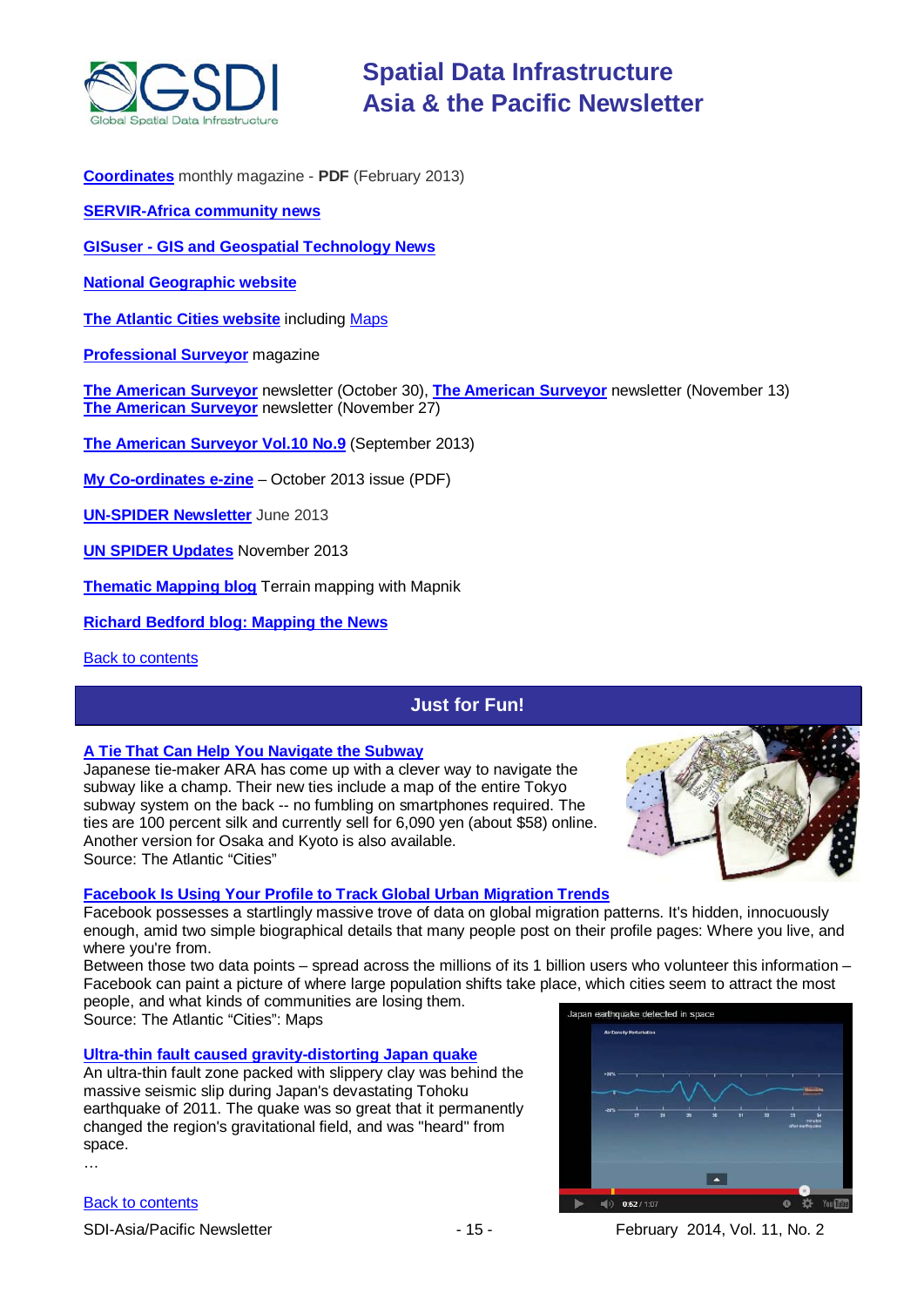

**[Coordinates](http://mycoordinates.org/pdf/feb13.pdf)** monthly magazine - **PDF** (February 2013)

**[SERVIR-Africa community news](http://www.servirglobal.net/africa/en/News/CommunityNews.aspx)**

**GISuser - [GIS and Geospatial Technology News](http://www.gisuser.com/)**

**[National Geographic website](http://www.nationalgeographic.com/)**

**[The Atlantic Cities website](http://www.theatlanticcities.com/)** including [Maps](http://www.theatlanticcities.com/posts/map/)

**[Professional Surveyor](http://www.profsurv.com/)** magazine

**[The American Surveyor](http://www.amerisurv.com/newsletter/30OCT2013.htm)** newsletter (October 30), **[The American Surveyor](http://www.amerisurv.com/newsletter/13NOV2013.htm)** newsletter (November 13) **[The American Surveyor](http://www.amerisurv.com/newsletter/27NOV2013.htm)** newsletter (November 27)

**[The American Surveyor Vol.10 No.9](http://amerisurv.com/emag/2013/vol10no9/index.html)** (September 2013)

**[My Co-ordinates e-zine](http://mycoordinates.org/pdf/oct13.pdf)** – October 2013 issue (PDF)

**[UN-SPIDER](http://www.un-spider.org/about/newsletter/un-spider-newsletter-213-earth-observation-disaster-response) Newsletter** June 2013

**[UN SPIDER Updates](http://www.un-spider.org/about/updates/un-spider-updates-may-2013)** November 2013

**[Thematic Mapping blog](http://blog.thematicmapping.org/)** Terrain mapping with Mapnik

**[Richard Bedford blog: Mapping the News](http://richybedford.wordpress.com/category/mapping-the-news/)**

<span id="page-14-0"></span>[Back to contents](#page-0-0)

### **Just for Fun!**

#### **[A Tie That Can Help You Navigate the Subway](http://www.theatlanticcities.com/design/2014/01/mens-tie-can-help-you-navigate-subway/8026/)**

Japanese tie-maker ARA has come up with a clever way to navigate the subway like a champ. Their new ties include a map of the entire Tokyo subway system on the back -- no fumbling on smartphones required. The ties are 100 percent silk and currently sell for 6,090 yen (about \$58) online. Another version for Osaka and Kyoto is also available. Source: The Atlantic "Cities"



#### **Facebook Is Using Your [Profile to Track Global Urban Migration Trends](http://www.theatlanticcities.com/technology/2013/12/facebook-using-your-profile-track-global-urban-migration-trends/7982/)**

Facebook possesses a startlingly massive trove of data on global migration patterns. It's hidden, innocuously enough, amid two simple biographical details that many people post on their profile pages: Where you live, and where you're from.

Between those two data points – spread across the millions of its 1 billion users who volunteer this information – Facebook can paint a picture of where large population shifts take place, which cities seem to attract the most people, and what kinds of communities are losing them.

Source: The Atlantic "Cities": Maps

#### **[Ultra-thin fault caused gravity-distorting Japan quake](http://www.newscientist.com/article/dn24706-ultrathin-fault-caused-gravitydistorting-japan-quake.html#.UuR0hNIzGVY)**

An ultra-thin fault zone packed with slippery clay was behind the massive seismic slip during Japan's devastating Tohoku earthquake of 2011. The quake was so great that it permanently changed the region's gravitational field, and was "heard" from space. …



[Back to contents](#page-0-0)

SDI-Asia/Pacific Newsletter 1992 - 15 - 15 - February 2014, Vol. 11, No. 2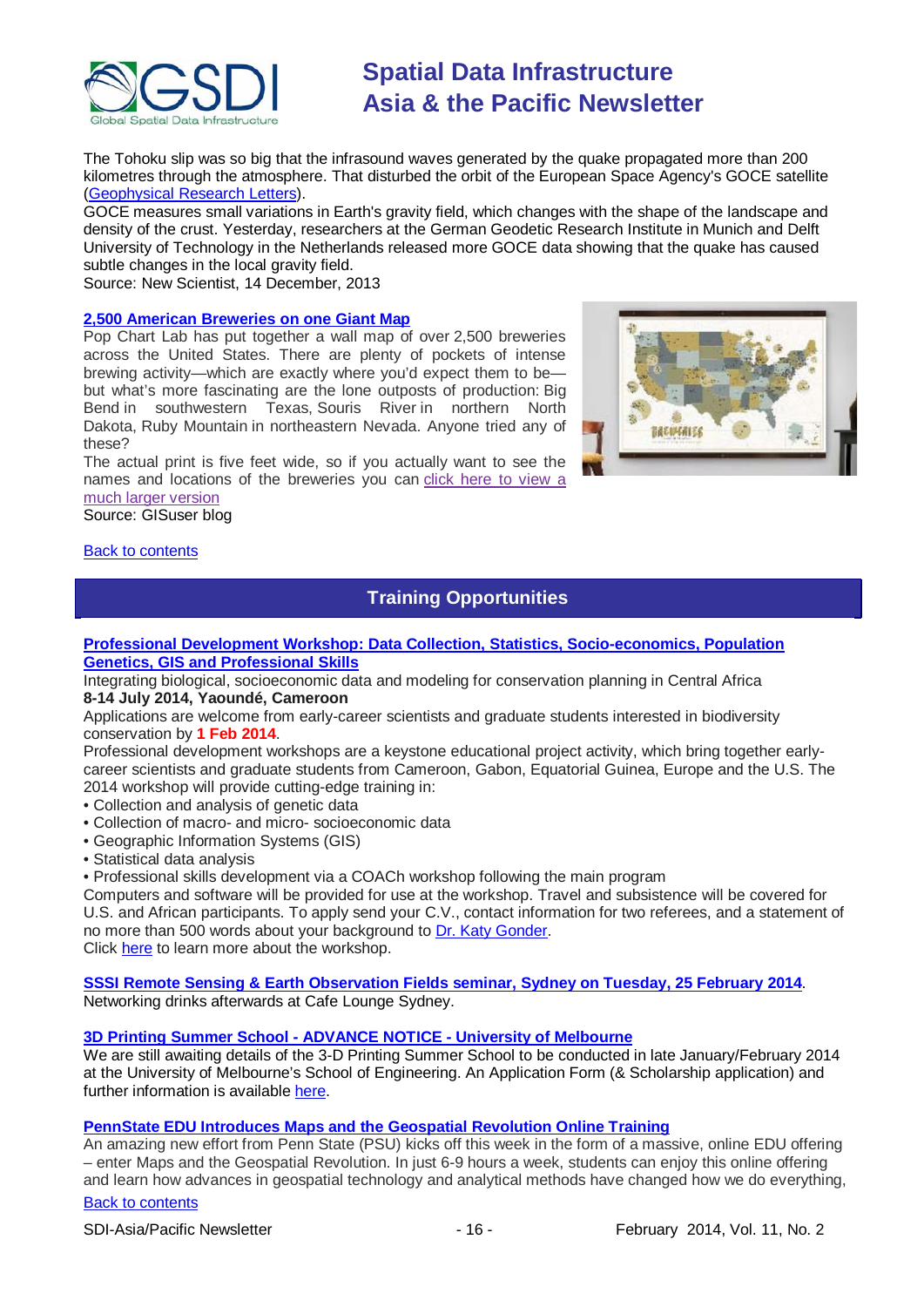

The Tohoku slip was so big that the infrasound waves generated by the quake propagated more than 200 kilometres through the atmosphere. That disturbed the orbit of the European Space Agency's GOCE satellite [\(Geophysical Research Letters\)](http://doi.org/qb8).

GOCE measures small variations in Earth's gravity field, which changes with the shape of the landscape and density of the crust. Yesterday, researchers at the German Geodetic Research Institute in Munich and Delft University of Technology in the Netherlands released more GOCE data showing that the quake has caused subtle changes in the local gravity field.

Source: New Scientist, 14 December, 2013

### **[2,500 American Breweries on one Giant Map](http://blog.gisuser.com/2014/01/13/2500-american-breweries-on-one-giant-map/)**

Pop Chart Lab has put together a wall map of over 2,500 breweries across the United States. There are plenty of pockets of intense brewing activity—which are exactly where you'd expect them to be but what's more fascinating are the lone outposts of production: Big Bend in southwestern Texas, Souris River in northern North Dakota, Ruby Mountain in northeastern Nevada. Anyone tried any of these?

The actual print is five feet wide, so if you actually want to see the names and locations of the breweries you can click here to [view](http://f.cl.ly/items/1A311a182s241y0l3A0O/PCL-MegaBrew%20(1).jpg) a much larger [version](http://f.cl.ly/items/1A311a182s241y0l3A0O/PCL-MegaBrew%20(1).jpg)

Source: GISuser blog

#### <span id="page-15-0"></span>[Back to contents](#page-0-0)

### **Training Opportunities**

#### **[Professional Development Workshop: Data Collection, Statistics, Socio-economics, Population](http://www.caballiance.org/)  [Genetics, GIS and Professional Skills](http://www.caballiance.org/)**

Integrating biological, socioeconomic data and modeling for conservation planning in Central Africa **8-14 July 2014, Yaoundé, Cameroon**

Applications are welcome from early-career scientists and graduate students interested in biodiversity conservation by **1 Feb 2014**.

Professional development workshops are a keystone educational project activity, which bring together earlycareer scientists and graduate students from Cameroon, Gabon, Equatorial Guinea, Europe and the U.S. The 2014 workshop will provide cutting-edge training in:

- Collection and analysis of genetic data
- Collection of macro- and micro- socioeconomic data
- Geographic Information Systems (GIS)
- Statistical data analysis

• Professional skills development via a COACh workshop following the main program

Computers and software will be provided for use at the workshop. Travel and subsistence will be covered for U.S. and African participants. To apply send your C.V., contact information for two referees, and a statement of no more than 500 words about your background t[o Dr. Katy Gonder.](mailto:gonder@drexel.edu) Click [here](https://doc-04-5s-docs.googleusercontent.com/docs/securesc/ha0ro937gcuc7l7deffksulhg5h7mbp1/a6he823vuvt6b4d2nsina7a3vbo2mio0/1389448800000/07549926081784677501/*/0BzxVzJdneZXOYklOZ0hhdlNTWnN5bGNhMnJxanBfdFc5NF9J?h=16653014193614665626&e=open) to learn more about the workshop.

**[SSSI Remote Sensing & Earth Observation Fields seminar, Sydney on Tuesday, 25 February 2014](http://www.sssi.org.au/Events/Remote-Sensing-and-Earth-Observation-Fields-Seminar/eid/1043.html)**. Networking drinks afterwards at Cafe Lounge Sydney.

#### **3D Printing Summer School - ADVANCE NOTICE - University of Melbourne**

We are still awaiting details of the 3-D Printing Summer School to be conducted in late January/February 2014 at the University of Melbourne's School of Engineering. An Application Form (& Scholarship application) and further information is available [here.](https://docs.google.com/forms/d/1-OeGdcuFI5EI652HLRCSCNMFQVeriBG3Y7iMr4m7fhA/viewform)

#### **[PennState EDU Introduces Maps and the Geospatial](http://blog.gisuser.com/2013/07/16/pennstate-edu-introduces-maps-and-the-geospatial-revolution-online-training/) Revolution Online Training**

[Back to contents](#page-0-0) An amazing new effort from Penn State (PSU) kicks off this week in the form of a massive, online EDU offering – enter Maps and the Geospatial Revolution. In just 6-9 hours a week, students can enjoy this online offering and learn how advances in geospatial technology and analytical methods have changed how we do everything,

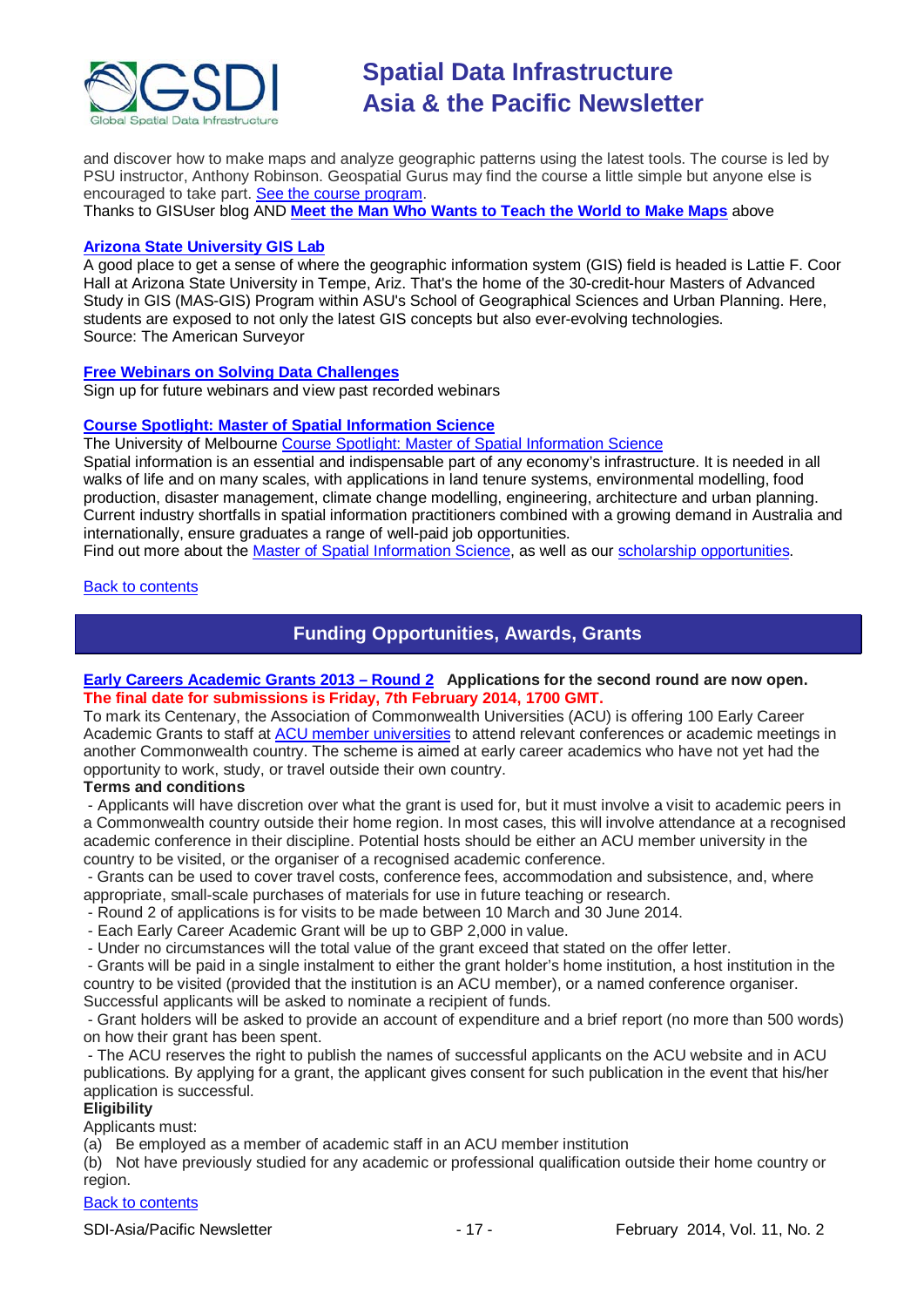

and discover how to make maps and analyze geographic patterns using the latest tools. The course is led by PSU instructor, Anthony Robinson. Geospatial Gurus may find the course a little simple but anyone else is encouraged to take part. [See the course program.](https://www.coursera.org/course/maps)

Thanks to GISUser blog AND **Meet the Man Who Wants [to Teach the World to Make Maps](#page-14-0)** above

#### **[Arizona State University](http://www.amerisurv.com/content/view/11050/153/) GIS Lab**

A good place to get a sense of where the geographic information system (GIS) field is headed is Lattie F. Coor Hall at Arizona State University in Tempe, Ariz. That's the home of the 30-credit-hour Masters of Advanced Study in GIS (MAS-GIS) Program within ASU's School of Geographical Sciences and Urban Planning. Here, students are exposed to not only the latest GIS concepts but also ever-evolving technologies. Source: The American Surveyor

#### **[Free Webinars on Solving Data Challenges](http://www.safe.com/learning/webinars/)**

Sign up for future webinars and view past recorded webinars

#### **[Course Spotlight: Master of Spatial Information Science](http://themelbourneengineer.eng.unimelb.edu.au/2012/02/course-spotlight-master-of-spatial-information-science/)**

The University of Melbourne [Course Spotlight: Master of Spatial Information Science](http://themelbourneengineer.eng.unimelb.edu.au/2012/02/course-spotlight-master-of-spatial-information-science/)

Spatial information is an essential and indispensable part of any economy's infrastructure. It is needed in all walks of life and on many scales, with applications in land tenure systems, environmental modelling, food production, disaster management, climate change modelling, engineering, architecture and urban planning. Current industry shortfalls in spatial information practitioners combined with a growing demand in Australia and internationally, ensure graduates a range of well-paid job opportunities.

Find out more about the [Master of Spatial Information Science,](http://www.msi.unimelb.edu.au/study/graduate/master-of-spatial-information-science/) as well as our [scholarship opportunities.](http://www.eng.unimelb.edu.au/study/graduate/scholarships.html)

#### <span id="page-16-0"></span>[Back to contents](#page-0-0)

### **Funding Opportunities, Awards, Grants**

#### **[Early Careers Academic Grants 2013 –](https://www.acu.ac.uk/membership/grants-awards/early-careers-academic-grants) Round 2 Applications for the second round are now open. The final date for submissions is Friday, 7th February 2014, 1700 GMT.**

To mark its Centenary, the Association of Commonwealth Universities (ACU) is offering 100 Early Career Academic Grants to staff at [ACU member universities](https://www.acu.ac.uk/membership/acu-members/) to attend relevant conferences or academic meetings in another Commonwealth country. The scheme is aimed at early career academics who have not yet had the opportunity to work, study, or travel outside their own country.

#### **Terms and conditions**

- Applicants will have discretion over what the grant is used for, but it must involve a visit to academic peers in a Commonwealth country outside their home region. In most cases, this will involve attendance at a recognised academic conference in their discipline. Potential hosts should be either an ACU member university in the country to be visited, or the organiser of a recognised academic conference.

- Grants can be used to cover travel costs, conference fees, accommodation and subsistence, and, where appropriate, small-scale purchases of materials for use in future teaching or research.

- Round 2 of applications is for visits to be made between 10 March and 30 June 2014.

- Each Early Career Academic Grant will be up to GBP 2,000 in value.
- Under no circumstances will the total value of the grant exceed that stated on the offer letter.

- Grants will be paid in a single instalment to either the grant holder's home institution, a host institution in the country to be visited (provided that the institution is an ACU member), or a named conference organiser. Successful applicants will be asked to nominate a recipient of funds.

- Grant holders will be asked to provide an account of expenditure and a brief report (no more than 500 words) on how their grant has been spent.

- The ACU reserves the right to publish the names of successful applicants on the ACU website and in ACU publications. By applying for a grant, the applicant gives consent for such publication in the event that his/her application is successful.

#### **Eligibility**

Applicants must:

(a) Be employed as a member of academic staff in an ACU member institution

(b) Not have previously studied for any academic or professional qualification outside their home country or region.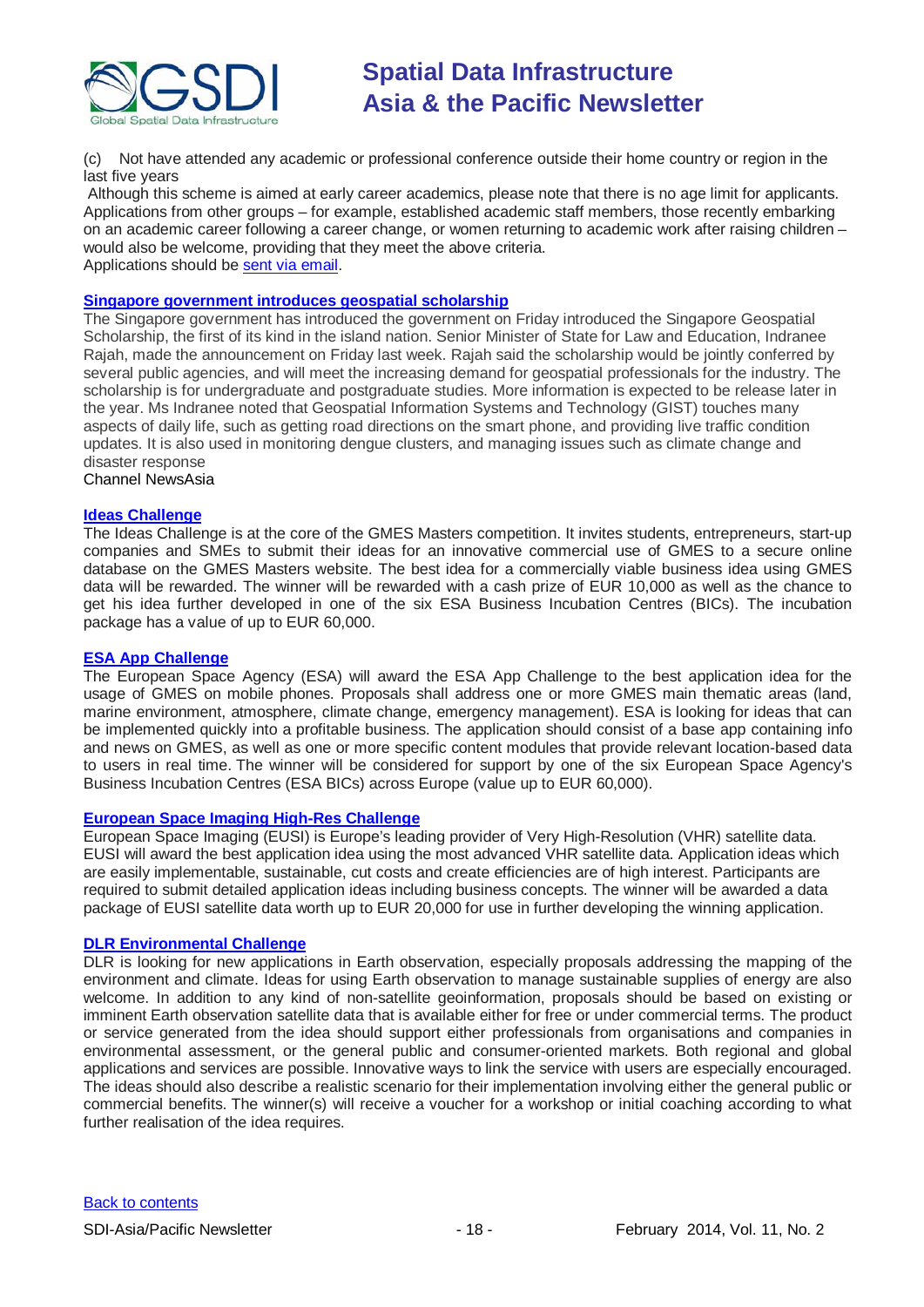

(c) Not have attended any academic or professional conference outside their home country or region in the last five years

Although this scheme is aimed at early career academics, please note that there is no age limit for applicants. Applications from other groups – for example, established academic staff members, those recently embarking on an academic career following a career change, or women returning to academic work after raising children – would also be welcome, providing that they meet the above criteria. Applications should be [sent via email.](mailto:earlycareerawards@acu.ac.u)

#### **[Singapore government introduces geospatial scholarship](http://www.channelnewsasia.com/news/singapore/government-introduces/763842.html)**

The Singapore government has introduced the government on Friday introduced the Singapore Geospatial Scholarship, the first of its kind in the island nation. Senior Minister of State for Law and Education, Indranee Rajah, made the announcement on Friday last week. Rajah said the scholarship would be jointly conferred by several public agencies, and will meet the increasing demand for geospatial professionals for the industry. The scholarship is for undergraduate and postgraduate studies. More information is expected to be release later in the year. Ms Indranee noted that Geospatial Information Systems and Technology (GIST) touches many aspects of daily life, such as getting road directions on the smart phone, and providing live traffic condition updates. It is also used in monitoring dengue clusters, and managing issues such as climate change and disaster response

Channel NewsAsia

#### **[Ideas Challenge](http://www.gmes-masters.com/ideas-challenge)**

The Ideas Challenge is at the core of the GMES Masters competition. It invites students, entrepreneurs, start-up companies and SMEs to submit their ideas for an innovative commercial use of GMES to a secure online database on the GMES Masters website. The best idea for a commercially viable business idea using GMES data will be rewarded. The winner will be rewarded with a cash prize of EUR 10,000 as well as the chance to get his idea further developed in one of the six ESA Business Incubation Centres (BICs). The incubation package has a value of up to EUR 60,000.

#### **[ESA App Challenge](http://www.gmes-masters.com/esa-app-challenge)**

The European Space Agency (ESA) will award the ESA App Challenge to the best application idea for the usage of GMES on mobile phones. Proposals shall address one or more GMES main thematic areas (land, marine environment, atmosphere, climate change, emergency management). ESA is looking for ideas that can be implemented quickly into a profitable business. The application should consist of a base app containing info and news on GMES, as well as one or more specific content modules that provide relevant location-based data to users in real time. The winner will be considered for support by one of the six European Space Agency's Business Incubation Centres (ESA BICs) across Europe (value up to EUR 60,000).

#### **[European Space Imaging High-Res Challenge](http://www.gmes-masters.com/european-space-0)**

European Space Imaging (EUSI) is Europe's leading provider of Very High-Resolution (VHR) satellite data. EUSI will award the best application idea using the most advanced VHR satellite data. Application ideas which are easily implementable, sustainable, cut costs and create efficiencies are of high interest. Participants are required to submit detailed application ideas including business concepts. The winner will be awarded a data package of EUSI satellite data worth up to EUR 20,000 for use in further developing the winning application.

#### **[DLR Environmental Challenge](http://www.gmes-masters.com/dlr-environmental)**

DLR is looking for new applications in Earth observation, especially proposals addressing the mapping of the environment and climate. Ideas for using Earth observation to manage sustainable supplies of energy are also welcome. In addition to any kind of non-satellite geoinformation, proposals should be based on existing or imminent Earth observation satellite data that is available either for free or under commercial terms. The product or service generated from the idea should support either professionals from organisations and companies in environmental assessment, or the general public and consumer-oriented markets. Both regional and global applications and services are possible. Innovative ways to link the service with users are especially encouraged. The ideas should also describe a realistic scenario for their implementation involving either the general public or commercial benefits. The winner(s) will receive a voucher for a workshop or initial coaching according to what further realisation of the idea requires.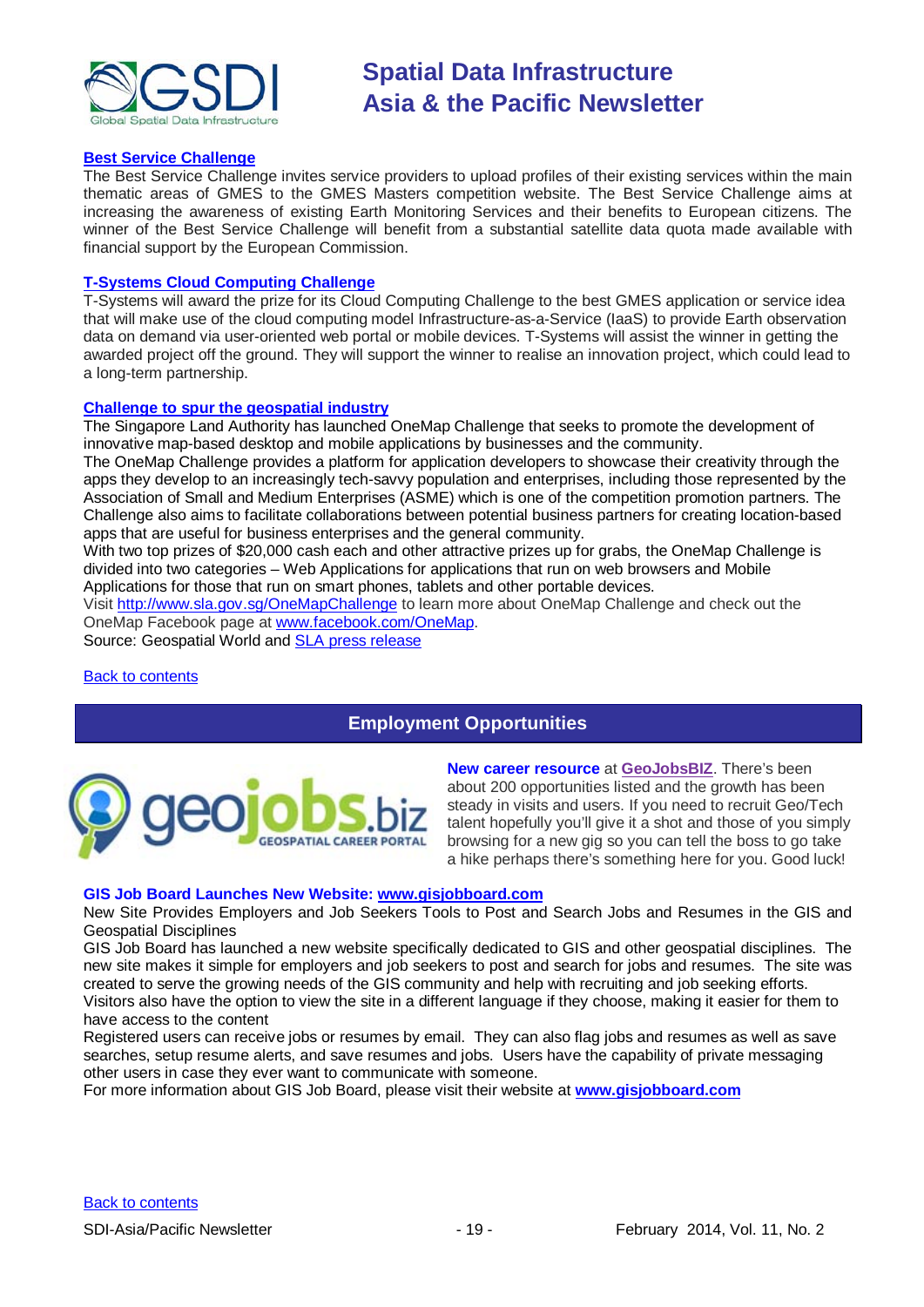

#### **[Best Service Challenge](http://www.gmes-masters.com/best-service)**

The Best Service Challenge invites service providers to upload profiles of their existing services within the main thematic areas of GMES to the GMES Masters competition website. The Best Service Challenge aims at increasing the awareness of existing Earth Monitoring Services and their benefits to European citizens. The winner of the Best Service Challenge will benefit from a substantial satellite data quota made available with financial support by the European Commission.

#### **[T-Systems Cloud Computing Challenge](http://www.gmes-masters.com/t-systems-cloud)**

T-Systems will award the prize for its Cloud Computing Challenge to the best GMES application or service idea that will make use of the cloud computing model Infrastructure-as-a-Service (IaaS) to provide Earth observation data on demand via user-oriented web portal or mobile devices. T-Systems will assist the winner in getting the awarded project off the ground. They will support the winner to realise an innovation project, which could lead to a long-term partnership.

#### **[Challenge to spur the geospatial industry](http://geospatialworld.net/index.php?option=com_content&view=article&id=23850:challenge-to-spur-the-geospatial-industry&catid=75:miscellaneous-events)**

The Singapore Land Authority has launched OneMap Challenge that seeks to promote the development of innovative map-based desktop and mobile applications by businesses and the community.

The OneMap Challenge provides a platform for application developers to showcase their creativity through the apps they develop to an increasingly tech-savvy population and enterprises, including those represented by the Association of Small and Medium Enterprises (ASME) which is one of the competition promotion partners. The Challenge also aims to facilitate collaborations between potential business partners for creating location-based apps that are useful for business enterprises and the general community.

With two top prizes of \$20,000 cash each and other attractive prizes up for grabs, the OneMap Challenge is divided into two categories – Web Applications for applications that run on web browsers and Mobile Applications for those that run on smart phones, tablets and other portable devices.

Visit <http://www.sla.gov.sg/OneMapChallenge> to learn more about OneMap Challenge and check out the OneMap Facebook page at [www.facebook.com/OneMap.](http://www.facebook.com/OneMap)

Source: Geospatial World and [SLA press release](http://www.sla.gov.sg/htm/new/new2012/new0401.htm)

#### <span id="page-18-0"></span>[Back to contents](#page-0-0)

### **Employment Opportunities**



**New career resource** at **[GeoJobsBIZ](http://geojobs.biz/)**. There's been about 200 opportunities listed and the growth has been steady in visits and users. If you need to recruit Geo/Tech talent hopefully you'll give it a shot and those of you simply browsing for a new gig so you can tell the boss to go take a hike perhaps there's something here for you. Good luck!

#### **GIS Job Board Launches New Website: [www.gisjobboard.com](http://www.gisjobboard.com/)**

New Site Provides Employers and Job Seekers Tools to Post and Search Jobs and Resumes in the GIS and Geospatial Disciplines

GIS Job Board has launched a new website specifically dedicated to GIS and other geospatial disciplines. The new site makes it simple for employers and job seekers to post and search for jobs and resumes. The site was created to serve the growing needs of the GIS community and help with recruiting and job seeking efforts. Visitors also have the option to view the site in a different language if they choose, making it easier for them to have access to the content

Registered users can receive jobs or resumes by email. They can also flag jobs and resumes as well as save searches, setup resume alerts, and save resumes and jobs. Users have the capability of private messaging other users in case they ever want to communicate with someone.

<span id="page-18-1"></span>For more information about GIS Job Board, please visit their website at **[www.gisjobboard.com](http://www.gisjobboard.com/)**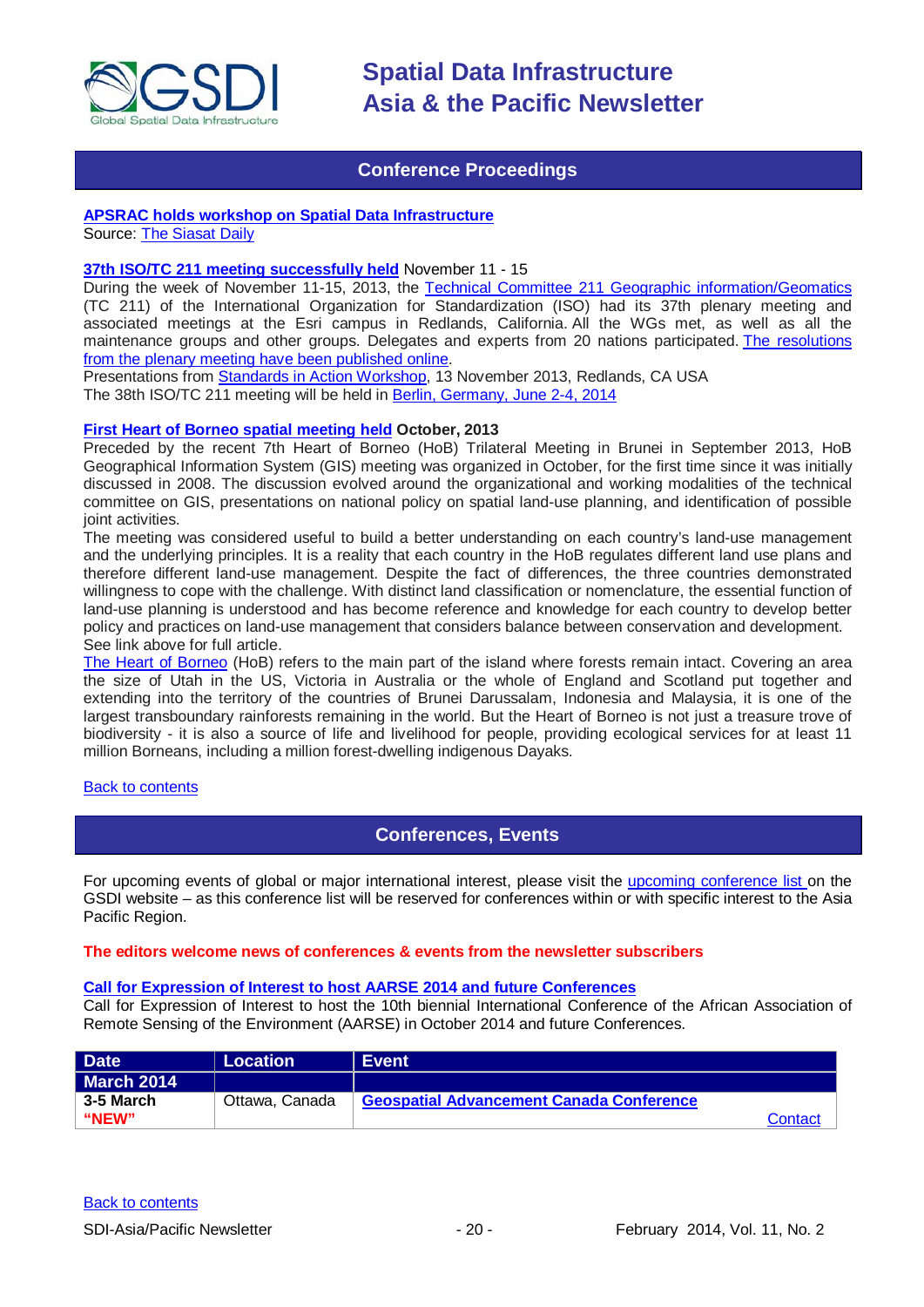

### **Conference Proceedings**

#### **[APSRAC holds workshop on Spatial Data Infrastructure](http://www.siasat.com/english/news/apsrac-holds-workshop-spatial-data-infrastructure)**

Source: [The Siasat Daily](http://www.siasat.com/)

#### **[37th ISO/TC 211 meeting successfully held](http://www.isotc211.org/News_archive/Redlands.htm)** November 11 - 15

During the week of November 11-15, 2013, the [Technical Committee 211 Geographic information/Geomatics](http://www.isotc211.org/) (TC 211) of the International Organization for Standardization (ISO) had its 37th plenary meeting and associated meetings at the Esri campus in Redlands, California. All the WGs met, as well as all the maintenance groups and other groups. Delegates and experts from 20 nations participated. The resolutions [from the plenary meeting have been published online.](http://www.isotc211.org/opendoc/211n3671/ISO-TC211-N3671_Resolutions_37th_meeting_Redlands_2013-11-15.pdf)

Presentations from [Standards in Action Workshop,](http://www.isotc211.org/Workshop_Redlands/Redlands-Standards_in_action_workshop.pdf) 13 November 2013, Redlands, CA USA The 38th ISO/TC 211 meeting will be held in [Berlin, Germany,](http://www.isotc211.org/Berlin/Berlin_2014.pdf) June 2-4, 2014

#### **[First Heart of Borneo spatial meeting held](http://wwf.panda.org/?212013/The-First-Heart-of-Borneo-Spatial-Meeting) October, 2013**

Preceded by the recent 7th Heart of Borneo (HoB) Trilateral Meeting in Brunei in September 2013, HoB Geographical Information System (GIS) meeting was organized in October, for the first time since it was initially discussed in 2008. The discussion evolved around the organizational and working modalities of the technical committee on GIS, presentations on national policy on spatial land-use planning, and identification of possible joint activities.

The meeting was considered useful to build a better understanding on each country's land-use management and the underlying principles. It is a reality that each country in the HoB regulates different land use plans and therefore different land-use management. Despite the fact of differences, the three countries demonstrated willingness to cope with the challenge. With distinct land classification or nomenclature, the essential function of land-use planning is understood and has become reference and knowledge for each country to develop better policy and practices on land-use management that considers balance between conservation and development. See link above for full article.

[The Heart of Borneo](http://wwf.panda.org/what_we_do/where_we_work/borneo_forests/) (HoB) refers to the main part of the island where forests remain intact. Covering an area the size of Utah in the US, Victoria in Australia or the whole of England and Scotland put together and extending into the territory of the countries of Brunei Darussalam, Indonesia and Malaysia, it is one of the largest transboundary rainforests remaining in the world. But the Heart of Borneo is not just a treasure trove of biodiversity - it is also a source of life and livelihood for people, providing ecological services for at least 11 million Borneans, including a million forest-dwelling indigenous Dayaks.

#### <span id="page-19-0"></span>[Back to contents](#page-0-0)

### **Conferences, Events**

For upcoming events of global or major international interest, please visit the [upcoming conference list o](http://gsdi.org/events/upcnf.asp)n the GSDI website – as this conference list will be reserved for conferences within or with specific interest to the Asia Pacific Region.

#### **The editors welcome news of conferences & events from the newsletter subscribers**

#### **[Call for Expression of Interest to host AARSE 2014 and future Conferences](http://lists.gsdi.org/pipermail/sdi-africa/2010-November/001135.html)**

Call for Expression of Interest to host the 10th biennial International Conference of the African Association of Remote Sensing of the Environment (AARSE) in October 2014 and future Conferences.

| <b>Date</b>       | Location       | <b>Event</b>                                    |         |
|-------------------|----------------|-------------------------------------------------|---------|
| <b>March 2014</b> |                |                                                 |         |
| 3-5 March         | Ottawa, Canada | <b>Geospatial Advancement Canada Conference</b> |         |
| "NEW"             |                |                                                 | Contact |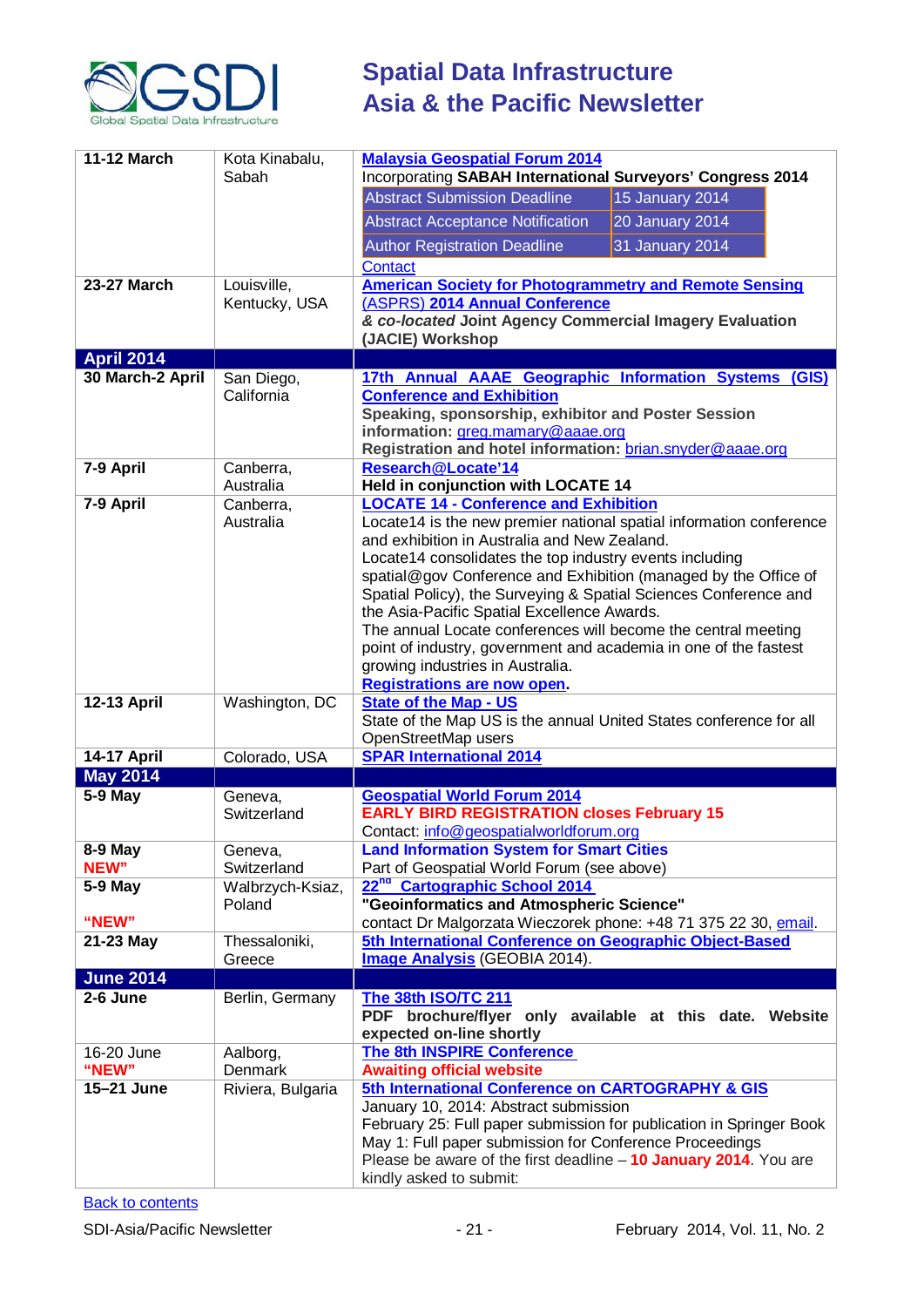

| <b>11-12 March</b>         | Kota Kinabalu,<br>Sabah | <b>Malaysia Geospatial Forum 2014</b><br>Incorporating SABAH International Surveyors' Congress 2014                               |  |  |
|----------------------------|-------------------------|-----------------------------------------------------------------------------------------------------------------------------------|--|--|
|                            |                         | <b>Abstract Submission Deadline</b>                                                                                               |  |  |
|                            |                         | 15 January 2014                                                                                                                   |  |  |
|                            |                         | <b>Abstract Acceptance Notification</b><br>20 January 2014                                                                        |  |  |
|                            |                         | <b>Author Registration Deadline</b><br>31 January 2014                                                                            |  |  |
|                            |                         | <b>Contact</b>                                                                                                                    |  |  |
| <b>23-27 March</b>         | Louisville,             | <b>American Society for Photogrammetry and Remote Sensing</b>                                                                     |  |  |
|                            | Kentucky, USA           | (ASPRS) 2014 Annual Conference<br>& co-located Joint Agency Commercial Imagery Evaluation                                         |  |  |
|                            |                         | (JACIE) Workshop                                                                                                                  |  |  |
| <b>April 2014</b>          |                         |                                                                                                                                   |  |  |
| 30 March-2 April           | San Diego,              | 17th Annual AAAE Geographic Information Systems (GIS)                                                                             |  |  |
|                            | California              | <b>Conference and Exhibition</b>                                                                                                  |  |  |
|                            |                         | Speaking, sponsorship, exhibitor and Poster Session                                                                               |  |  |
|                            |                         | information: greg.mamary@aaae.org                                                                                                 |  |  |
|                            |                         | Registration and hotel information: brian.snyder@aaae.org                                                                         |  |  |
| 7-9 April                  | Canberra,<br>Australia  | Research@Locate'14<br>Held in conjunction with LOCATE 14                                                                          |  |  |
| 7-9 April                  | Canberra,               | <b>LOCATE 14 - Conference and Exhibition</b>                                                                                      |  |  |
|                            | Australia               | Locate14 is the new premier national spatial information conference                                                               |  |  |
|                            |                         | and exhibition in Australia and New Zealand.                                                                                      |  |  |
|                            |                         | Locate14 consolidates the top industry events including                                                                           |  |  |
|                            |                         | spatial@gov Conference and Exhibition (managed by the Office of                                                                   |  |  |
|                            |                         | Spatial Policy), the Surveying & Spatial Sciences Conference and                                                                  |  |  |
|                            |                         | the Asia-Pacific Spatial Excellence Awards.                                                                                       |  |  |
|                            |                         | The annual Locate conferences will become the central meeting<br>point of industry, government and academia in one of the fastest |  |  |
|                            |                         | growing industries in Australia.                                                                                                  |  |  |
|                            |                         | <b>Registrations are now open.</b>                                                                                                |  |  |
| <b>12-13 April</b>         | Washington, DC          | <b>State of the Map - US</b>                                                                                                      |  |  |
|                            |                         | State of the Map US is the annual United States conference for all                                                                |  |  |
|                            |                         | OpenStreetMap users                                                                                                               |  |  |
| <b>14-17 April</b>         | Colorado, USA           | <b>SPAR International 2014</b>                                                                                                    |  |  |
| <b>May 2014</b><br>5-9 May | Geneva,                 | <b>Geospatial World Forum 2014</b>                                                                                                |  |  |
|                            | Switzerland             | <b>EARLY BIRD REGISTRATION closes February 15</b>                                                                                 |  |  |
|                            |                         | Contact: info@geospatialworldforum.org                                                                                            |  |  |
| 8-9 May                    | Geneva,                 | <b>Land Information System for Smart Cities</b>                                                                                   |  |  |
| NEW"                       | Switzerland             | Part of Geospatial World Forum (see above)                                                                                        |  |  |
| 5-9 May                    | Walbrzych-Ksiaz,        | 22 <sup>nd</sup> Cartographic School 2014                                                                                         |  |  |
|                            | Poland                  | "Geoinformatics and Atmospheric Science"                                                                                          |  |  |
| "NEW"<br>21-23 May         |                         | contact Dr Malgorzata Wieczorek phone: +48 71 375 22 30, email.<br>5th International Conference on Geographic Object-Based        |  |  |
|                            | Thessaloniki,<br>Greece | <b>Image Analysis</b> (GEOBIA 2014).                                                                                              |  |  |
| <b>June 2014</b>           |                         |                                                                                                                                   |  |  |
| 2-6 June                   | Berlin, Germany         | The 38th ISO/TC 211                                                                                                               |  |  |
|                            |                         | brochure/flyer only available at this date. Website<br><b>PDF</b>                                                                 |  |  |
|                            |                         | expected on-line shortly                                                                                                          |  |  |
| 16-20 June                 | Aalborg,                | The 8th INSPIRE Conference                                                                                                        |  |  |
| "NEW"                      | Denmark                 | <b>Awaiting official website</b>                                                                                                  |  |  |
| 15-21 June                 | Riviera, Bulgaria       | 5th International Conference on CARTOGRAPHY & GIS                                                                                 |  |  |
|                            |                         | January 10, 2014: Abstract submission<br>February 25: Full paper submission for publication in Springer Book                      |  |  |
|                            |                         | May 1: Full paper submission for Conference Proceedings                                                                           |  |  |
|                            |                         | Please be aware of the first deadline $-10$ January 2014. You are                                                                 |  |  |
|                            |                         | kindly asked to submit:                                                                                                           |  |  |